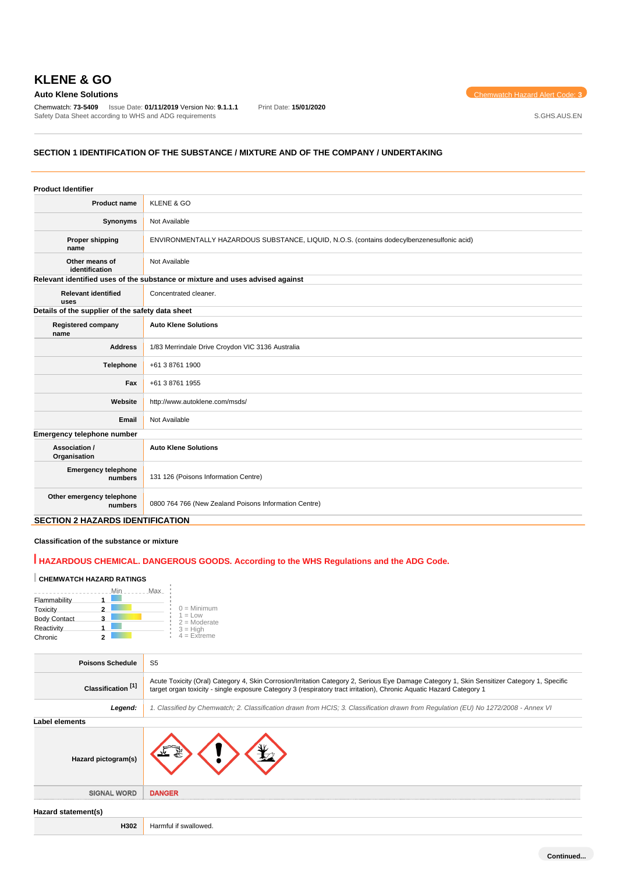Chemwatch: **73-5409** Issue Date: **01/11/2019** Version No: **9.1.1.1** Print Date: **15/01/2020** Safety Data Sheet according to WHS and ADG requirements **Safety Data Sheet according to WHS** and ADG requirements

**Auto Klene Solutions** Chemwatch Hazard Alert Code: **3** 

### **SECTION 1 IDENTIFICATION OF THE SUBSTANCE / MIXTURE AND OF THE COMPANY / UNDERTAKING**

| <b>Product Identifier</b>                        |                                                                                            |  |
|--------------------------------------------------|--------------------------------------------------------------------------------------------|--|
| <b>Product name</b>                              | <b>KLENE &amp; GO</b>                                                                      |  |
| Synonyms                                         | Not Available                                                                              |  |
| Proper shipping<br>name                          | ENVIRONMENTALLY HAZARDOUS SUBSTANCE, LIQUID, N.O.S. (contains dodecylbenzenesulfonic acid) |  |
| Other means of<br>identification                 | Not Available                                                                              |  |
|                                                  | Relevant identified uses of the substance or mixture and uses advised against              |  |
| <b>Relevant identified</b><br>uses               | Concentrated cleaner.                                                                      |  |
| Details of the supplier of the safety data sheet |                                                                                            |  |
| <b>Registered company</b><br>name                | <b>Auto Klene Solutions</b>                                                                |  |
| <b>Address</b>                                   | 1/83 Merrindale Drive Croydon VIC 3136 Australia                                           |  |
| Telephone                                        | +61 3 8761 1900                                                                            |  |
| Fax                                              | +61 3 8761 1955                                                                            |  |
| Website                                          | http://www.autoklene.com/msds/                                                             |  |
| Email                                            | Not Available                                                                              |  |
| Emergency telephone number                       |                                                                                            |  |
| Association /<br>Organisation                    | <b>Auto Klene Solutions</b>                                                                |  |
| <b>Emergency telephone</b><br>numbers            | 131 126 (Poisons Information Centre)                                                       |  |
| Other emergency telephone<br>numbers             | 0800 764 766 (New Zealand Poisons Information Centre)                                      |  |
| <b>SECTION 2 HAZARDS IDENTIFICATION</b>          |                                                                                            |  |

# **Classification of the substance or mixture**

# **HAZARDOUS CHEMICAL. DANGEROUS GOODS. According to the WHS Regulations and the ADG Code.**

#### **CHEMWATCH HAZARD RATINGS**

|                     |   | Max<br>Min |                              |
|---------------------|---|------------|------------------------------|
| Flammability        |   |            |                              |
| Toxicity            |   |            | $0 =$ Minimum                |
| <b>Body Contact</b> | 3 |            | $1 = 1$ ow<br>$2 =$ Moderate |
| Reactivity          |   |            | $3 = High$                   |
| Chronic             |   |            | $4 = Extreme$                |

J.

| <b>Poisons Schedule</b>       | S <sub>5</sub>                                                                                                                                                                                                                                                      |
|-------------------------------|---------------------------------------------------------------------------------------------------------------------------------------------------------------------------------------------------------------------------------------------------------------------|
| Classification <sup>[1]</sup> | Acute Toxicity (Oral) Category 4, Skin Corrosion/Irritation Category 2, Serious Eye Damage Category 1, Skin Sensitizer Category 1, Specific<br>target organ toxicity - single exposure Category 3 (respiratory tract irritation), Chronic Aquatic Hazard Category 1 |
| Legend:                       | 1. Classified by Chemwatch; 2. Classification drawn from HCIS; 3. Classification drawn from Regulation (EU) No 1272/2008 - Annex VI                                                                                                                                 |
| Label elements                |                                                                                                                                                                                                                                                                     |
| Hazard pictogram(s)           |                                                                                                                                                                                                                                                                     |
| <b>SIGNAL WORD</b>            | <b>DANGER</b>                                                                                                                                                                                                                                                       |
| Hazard statement(s)           |                                                                                                                                                                                                                                                                     |
| H302                          | Harmful if swallowed.                                                                                                                                                                                                                                               |
|                               |                                                                                                                                                                                                                                                                     |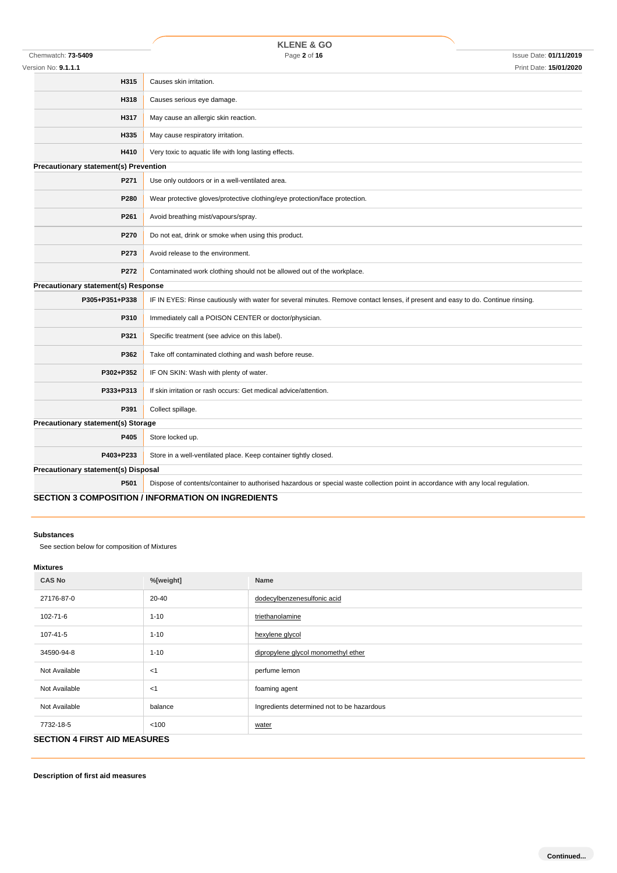|                                              | <b>KLENE &amp; GO</b>                                                                                                            |
|----------------------------------------------|----------------------------------------------------------------------------------------------------------------------------------|
| Chemwatch: 73-5409                           | Page 2 of 16<br><b>Issue Date: 01/11/2019</b>                                                                                    |
| Version No: <b>9.1.1.1</b>                   | Print Date: 15/01/2020                                                                                                           |
| H315                                         | Causes skin irritation.                                                                                                          |
| H318                                         | Causes serious eye damage.                                                                                                       |
| H317                                         | May cause an allergic skin reaction.                                                                                             |
| H335                                         | May cause respiratory irritation.                                                                                                |
| H410                                         | Very toxic to aquatic life with long lasting effects.                                                                            |
| <b>Precautionary statement(s) Prevention</b> |                                                                                                                                  |
| P271                                         | Use only outdoors or in a well-ventilated area.                                                                                  |
| P280                                         | Wear protective gloves/protective clothing/eye protection/face protection.                                                       |
| P261                                         | Avoid breathing mist/vapours/spray.                                                                                              |
| P270                                         | Do not eat, drink or smoke when using this product.                                                                              |
| P273                                         | Avoid release to the environment.                                                                                                |
| P272                                         | Contaminated work clothing should not be allowed out of the workplace.                                                           |
| Precautionary statement(s) Response          |                                                                                                                                  |
| P305+P351+P338                               | IF IN EYES: Rinse cautiously with water for several minutes. Remove contact lenses, if present and easy to do. Continue rinsing. |
| P310                                         | Immediately call a POISON CENTER or doctor/physician.                                                                            |
| P321                                         | Specific treatment (see advice on this label).                                                                                   |
| P362                                         | Take off contaminated clothing and wash before reuse.                                                                            |
| P302+P352                                    | IF ON SKIN: Wash with plenty of water.                                                                                           |
| P333+P313                                    | If skin irritation or rash occurs: Get medical advice/attention.                                                                 |
| P391                                         | Collect spillage.                                                                                                                |
| <b>Precautionary statement(s) Storage</b>    |                                                                                                                                  |
| P405                                         | Store locked up.                                                                                                                 |
| P403+P233                                    | Store in a well-ventilated place. Keep container tightly closed.                                                                 |
| Precautionary statement(s) Disposal          |                                                                                                                                  |
| P501                                         | Dispose of contents/container to authorised hazardous or special waste collection point in accordance with any local regulation. |
|                                              | <b>SECTION 3 COMPOSITION / INFORMATION ON INGREDIENTS</b>                                                                        |

#### **Substances**

See section below for composition of Mixtures

### **Mixtures**

| <b>CAS No</b>                       | %[weight] | Name                                       |  |
|-------------------------------------|-----------|--------------------------------------------|--|
| 27176-87-0                          | 20-40     | dodecylbenzenesulfonic acid                |  |
| 102-71-6                            | $1 - 10$  | triethanolamine                            |  |
| 107-41-5                            | $1 - 10$  | hexylene glycol                            |  |
| 34590-94-8                          | $1 - 10$  | dipropylene glycol monomethyl ether        |  |
| Not Available                       | <1        | perfume lemon                              |  |
| Not Available                       | <1        | foaming agent                              |  |
| Not Available                       | balance   | Ingredients determined not to be hazardous |  |
| 7732-18-5                           | < 100     | water                                      |  |
| <b>SECTION 4 FIRST AID MEASURES</b> |           |                                            |  |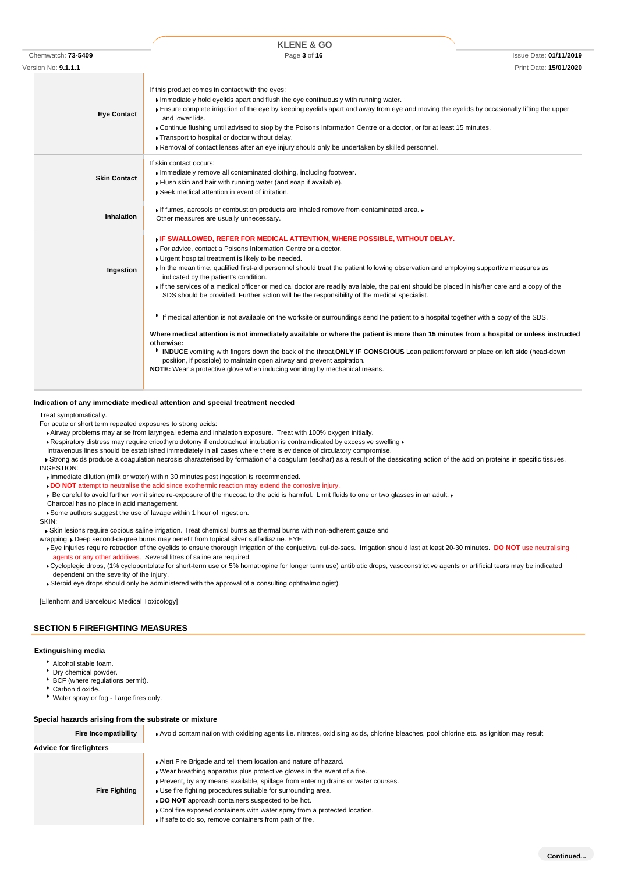|                     | <b>KLENE &amp; GO</b>                                                                                                                                                                                                                                                                                                                     |                                                                                                                                                                                                                                                                                                                                                                                                                                                                                                                                                                                                                                                                                                                                                                                                                                                                                                                                                                                          |
|---------------------|-------------------------------------------------------------------------------------------------------------------------------------------------------------------------------------------------------------------------------------------------------------------------------------------------------------------------------------------|------------------------------------------------------------------------------------------------------------------------------------------------------------------------------------------------------------------------------------------------------------------------------------------------------------------------------------------------------------------------------------------------------------------------------------------------------------------------------------------------------------------------------------------------------------------------------------------------------------------------------------------------------------------------------------------------------------------------------------------------------------------------------------------------------------------------------------------------------------------------------------------------------------------------------------------------------------------------------------------|
|                     | Page 3 of 16                                                                                                                                                                                                                                                                                                                              | <b>Issue Date: 01/11/2019</b>                                                                                                                                                                                                                                                                                                                                                                                                                                                                                                                                                                                                                                                                                                                                                                                                                                                                                                                                                            |
|                     |                                                                                                                                                                                                                                                                                                                                           | Print Date: 15/01/2020                                                                                                                                                                                                                                                                                                                                                                                                                                                                                                                                                                                                                                                                                                                                                                                                                                                                                                                                                                   |
| <b>Eye Contact</b>  | If this product comes in contact with the eyes:<br>Immediately hold eyelids apart and flush the eye continuously with running water.<br>and lower lids.<br>Transport to hospital or doctor without delay.<br>▶ Removal of contact lenses after an eye injury should only be undertaken by skilled personnel.                              |                                                                                                                                                                                                                                                                                                                                                                                                                                                                                                                                                                                                                                                                                                                                                                                                                                                                                                                                                                                          |
| <b>Skin Contact</b> | If skin contact occurs:<br>Immediately remove all contaminated clothing, including footwear.<br>Flush skin and hair with running water (and soap if available).<br>Seek medical attention in event of irritation.                                                                                                                         |                                                                                                                                                                                                                                                                                                                                                                                                                                                                                                                                                                                                                                                                                                                                                                                                                                                                                                                                                                                          |
| Inhalation          | If fumes, aerosols or combustion products are inhaled remove from contaminated area.<br>Other measures are usually unnecessary.                                                                                                                                                                                                           |                                                                                                                                                                                                                                                                                                                                                                                                                                                                                                                                                                                                                                                                                                                                                                                                                                                                                                                                                                                          |
| Ingestion           | FIF SWALLOWED, REFER FOR MEDICAL ATTENTION, WHERE POSSIBLE, WITHOUT DELAY.<br>For advice, contact a Poisons Information Centre or a doctor.<br>Urgent hospital treatment is likely to be needed.<br>indicated by the patient's condition.<br>SDS should be provided. Further action will be the responsibility of the medical specialist. |                                                                                                                                                                                                                                                                                                                                                                                                                                                                                                                                                                                                                                                                                                                                                                                                                                                                                                                                                                                          |
|                     | otherwise:<br>position, if possible) to maintain open airway and prevent aspiration.<br>NOTE: Wear a protective glove when inducing vomiting by mechanical means.                                                                                                                                                                         |                                                                                                                                                                                                                                                                                                                                                                                                                                                                                                                                                                                                                                                                                                                                                                                                                                                                                                                                                                                          |
|                     | Chemwatch: 73-5409<br>Version No: 9.1.1.1                                                                                                                                                                                                                                                                                                 | Ensure complete irrigation of the eye by keeping eyelids apart and away from eye and moving the eyelids by occasionally lifting the upper<br>▶ Continue flushing until advised to stop by the Poisons Information Centre or a doctor, or for at least 15 minutes.<br>In the mean time, qualified first-aid personnel should treat the patient following observation and employing supportive measures as<br>If the services of a medical officer or medical doctor are readily available, the patient should be placed in his/her care and a copy of the<br>► If medical attention is not available on the worksite or surroundings send the patient to a hospital together with a copy of the SDS.<br>Where medical attention is not immediately available or where the patient is more than 15 minutes from a hospital or unless instructed<br><b>NUMBE</b> vomiting with fingers down the back of the throat, ONLY IF CONSCIOUS Lean patient forward or place on left side (head-down |

#### **Indication of any immediate medical attention and special treatment needed**

Treat symptomatically.

For acute or short term repeated exposures to strong acids:

Airway problems may arise from laryngeal edema and inhalation exposure. Treat with 100% oxygen initially.

- Respiratory distress may require cricothyroidotomy if endotracheal intubation is contraindicated by excessive swelling ▶
- Intravenous lines should be established immediately in all cases where there is evidence of circulatory compromise.

Strong acids produce a coagulation necrosis characterised by formation of a coagulum (eschar) as a result of the dessicating action of the acid on proteins in specific tissues. INGESTION:

- Immediate dilution (milk or water) within 30 minutes post ingestion is recommended.
- **DO NOT** attempt to neutralise the acid since exothermic reaction may extend the corrosive injury.
- K Be careful to avoid further vomit since re-exposure of the mucosa to the acid is harmful. Limit fluids to one or two glasses in an adult. K
- Charcoal has no place in acid management.

Some authors suggest the use of lavage within 1 hour of ingestion. SKIN:

Skin lesions require copious saline irrigation. Treat chemical burns as thermal burns with non-adherent gauze and

- wrapping. Deep second-degree burns may benefit from topical silver sulfadiazine. EYE:
- Eye injuries require retraction of the eyelids to ensure thorough irrigation of the conjuctival cul-de-sacs. Irrigation should last at least 20-30 minutes. **DO NOT** use neutralising agents or any other additives. Several litres of saline are required.
- Cycloplegic drops, (1% cyclopentolate for short-term use or 5% homatropine for longer term use) antibiotic drops, vasoconstrictive agents or artificial tears may be indicated dependent on the severity of the injury.

Steroid eye drops should only be administered with the approval of a consulting ophthalmologist).

[Ellenhorn and Barceloux: Medical Toxicology]

### **SECTION 5 FIREFIGHTING MEASURES**

#### **Extinguishing media**

- Alcohol stable foam.
- Dry chemical powder.
- **BCF** (where regulations permit).
- Carbon dioxide.
- Water spray or fog Large fires only.

### **Special hazards arising from the substrate or mixture**

| Fire Incompatibility           | Avoid contamination with oxidising agents i.e. nitrates, oxidising acids, chlorine bleaches, pool chlorine etc. as ignition may result |
|--------------------------------|----------------------------------------------------------------------------------------------------------------------------------------|
| <b>Advice for firefighters</b> |                                                                                                                                        |
|                                | Alert Fire Brigade and tell them location and nature of hazard.                                                                        |
|                                | . Wear breathing apparatus plus protective gloves in the event of a fire.                                                              |
|                                | ▶ Prevent, by any means available, spillage from entering drains or water courses.                                                     |
| <b>Fire Fighting</b>           | ▶ Use fire fighting procedures suitable for surrounding area.                                                                          |
|                                | DO NOT approach containers suspected to be hot.                                                                                        |
|                                | Cool fire exposed containers with water spray from a protected location.                                                               |
|                                | If safe to do so, remove containers from path of fire.                                                                                 |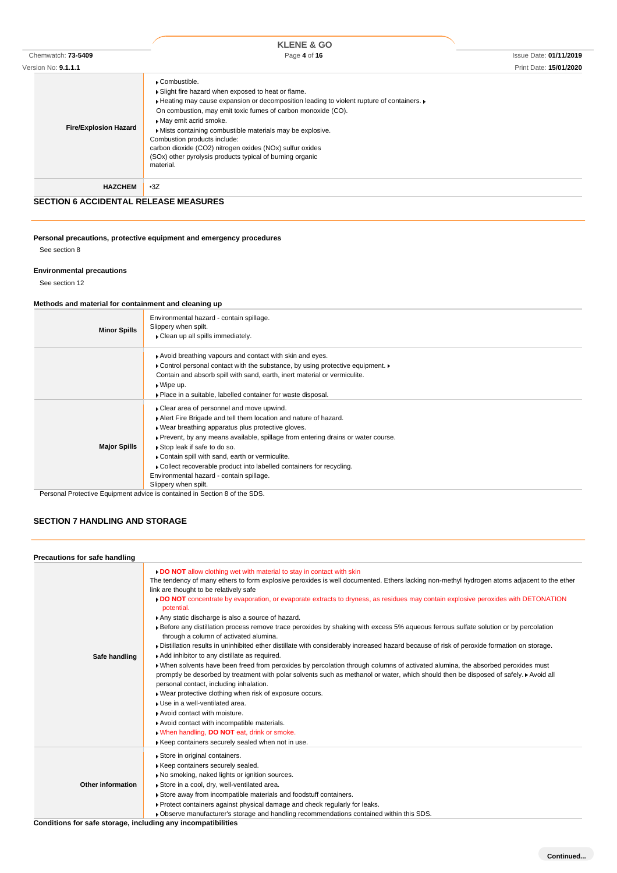|                              | <b>KLENE &amp; GO</b>                                                                                                                                                                                                                                                                                                                                                                                                                                                                      |                               |
|------------------------------|--------------------------------------------------------------------------------------------------------------------------------------------------------------------------------------------------------------------------------------------------------------------------------------------------------------------------------------------------------------------------------------------------------------------------------------------------------------------------------------------|-------------------------------|
| Chemwatch: 73-5409           | Page 4 of 16                                                                                                                                                                                                                                                                                                                                                                                                                                                                               | <b>Issue Date: 01/11/2019</b> |
| Version No: 9.1.1.1          |                                                                                                                                                                                                                                                                                                                                                                                                                                                                                            | Print Date: 15/01/2020        |
| <b>Fire/Explosion Hazard</b> | ▶ Combustible.<br>Slight fire hazard when exposed to heat or flame.<br>▶ Heating may cause expansion or decomposition leading to violent rupture of containers.<br>On combustion, may emit toxic fumes of carbon monoxide (CO).<br>May emit acrid smoke.<br>Mists containing combustible materials may be explosive.<br>Combustion products include:<br>carbon dioxide (CO2) nitrogen oxides (NOx) sulfur oxides<br>(SOx) other pyrolysis products typical of burning organic<br>material. |                               |
| <b>HAZCHEM</b>               | $-3Z$                                                                                                                                                                                                                                                                                                                                                                                                                                                                                      |                               |

### **SECTION 6 ACCIDENTAL RELEASE MEASURES**

**Personal precautions, protective equipment and emergency procedures** See section 8

#### **Environmental precautions**

See section 12

### **Methods and material for containment and cleaning up**

| <b>Minor Spills</b> | Environmental hazard - contain spillage.<br>Slippery when spilt.<br>• Clean up all spills immediately.                                                                                                                                                                                                                                                                                                                                                                               |
|---------------------|--------------------------------------------------------------------------------------------------------------------------------------------------------------------------------------------------------------------------------------------------------------------------------------------------------------------------------------------------------------------------------------------------------------------------------------------------------------------------------------|
|                     | Avoid breathing vapours and contact with skin and eyes.<br>• Control personal contact with the substance, by using protective equipment.<br>Contain and absorb spill with sand, earth, inert material or vermiculite.<br>$\triangleright$ Wipe up.<br>• Place in a suitable, labelled container for waste disposal.                                                                                                                                                                  |
| <b>Major Spills</b> | • Clear area of personnel and move upwind.<br>Alert Fire Brigade and tell them location and nature of hazard.<br>. Wear breathing apparatus plus protective gloves.<br>▶ Prevent, by any means available, spillage from entering drains or water course.<br>Stop leak if safe to do so.<br>Contain spill with sand, earth or vermiculite.<br>Collect recoverable product into labelled containers for recycling.<br>Environmental hazard - contain spillage.<br>Slippery when spilt. |

Personal Protective Equipment advice is contained in Section 8 of the SDS.

### **SECTION 7 HANDLING AND STORAGE**

| Precautions for safe handling                                 |                                                                                                                                                                                                                                                                                                                                                                                                                                                                                                                                                                                                                                                                                                                                                                                                                                                                                                                                                                                                                                                                                                                                                                                                                                                                                                                                                                                                                                                         |
|---------------------------------------------------------------|---------------------------------------------------------------------------------------------------------------------------------------------------------------------------------------------------------------------------------------------------------------------------------------------------------------------------------------------------------------------------------------------------------------------------------------------------------------------------------------------------------------------------------------------------------------------------------------------------------------------------------------------------------------------------------------------------------------------------------------------------------------------------------------------------------------------------------------------------------------------------------------------------------------------------------------------------------------------------------------------------------------------------------------------------------------------------------------------------------------------------------------------------------------------------------------------------------------------------------------------------------------------------------------------------------------------------------------------------------------------------------------------------------------------------------------------------------|
| Safe handling                                                 | DO NOT allow clothing wet with material to stay in contact with skin<br>The tendency of many ethers to form explosive peroxides is well documented. Ethers lacking non-methyl hydrogen atoms adjacent to the ether<br>link are thought to be relatively safe<br>DO NOT concentrate by evaporation, or evaporate extracts to dryness, as residues may contain explosive peroxides with DETONATION<br>potential.<br>Any static discharge is also a source of hazard.<br>▶ Before any distillation process remove trace peroxides by shaking with excess 5% aqueous ferrous sulfate solution or by percolation<br>through a column of activated alumina.<br>Distillation results in uninhibited ether distillate with considerably increased hazard because of risk of peroxide formation on storage.<br>Add inhibitor to any distillate as required.<br>When solvents have been freed from peroxides by percolation through columns of activated alumina, the absorbed peroxides must<br>promptly be desorbed by treatment with polar solvents such as methanol or water, which should then be disposed of safely. A Avoid all<br>personal contact, including inhalation.<br>Wear protective clothing when risk of exposure occurs.<br>I Use in a well-ventilated area.<br>Avoid contact with moisture.<br>Avoid contact with incompatible materials.<br>. When handling, DO NOT eat, drink or smoke.<br>Keep containers securely sealed when not in use. |
| <b>Other information</b>                                      | Store in original containers.<br>Keep containers securely sealed.<br>No smoking, naked lights or ignition sources.<br>Store in a cool, dry, well-ventilated area.<br>Store away from incompatible materials and foodstuff containers.<br>▶ Protect containers against physical damage and check regularly for leaks.<br>. Observe manufacturer's storage and handling recommendations contained within this SDS.                                                                                                                                                                                                                                                                                                                                                                                                                                                                                                                                                                                                                                                                                                                                                                                                                                                                                                                                                                                                                                        |
| Conditiona for agfa atoroga, ingluding any incomposibilities. |                                                                                                                                                                                                                                                                                                                                                                                                                                                                                                                                                                                                                                                                                                                                                                                                                                                                                                                                                                                                                                                                                                                                                                                                                                                                                                                                                                                                                                                         |

**Conditions for safe storage, including any incompatibilities**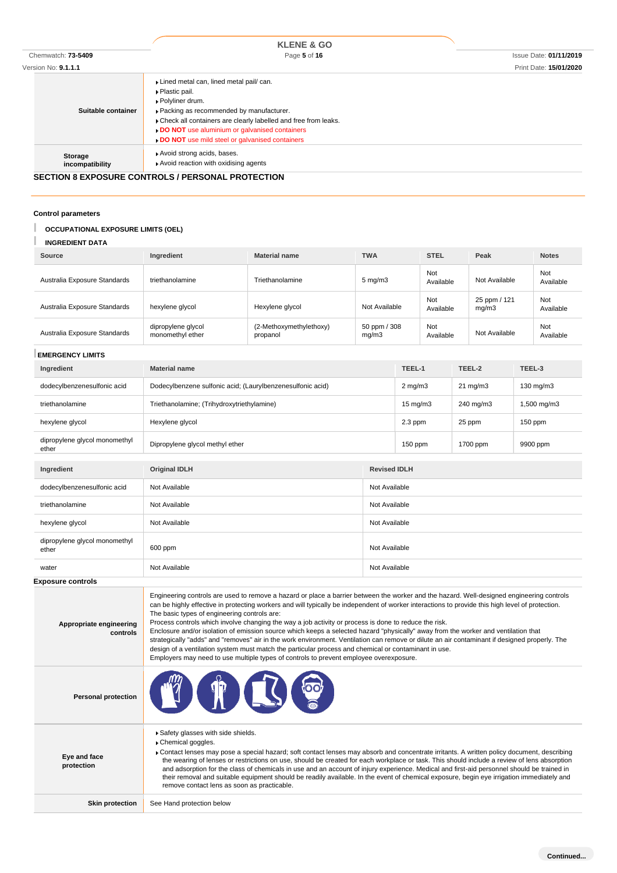|                     | <b>KLENE &amp; GO</b>                                                                                                                                                                                                                                                                           |                               |
|---------------------|-------------------------------------------------------------------------------------------------------------------------------------------------------------------------------------------------------------------------------------------------------------------------------------------------|-------------------------------|
| Chemwatch: 73-5409  | Page 5 of 16                                                                                                                                                                                                                                                                                    | <b>Issue Date: 01/11/2019</b> |
| Version No: 9.1.1.1 |                                                                                                                                                                                                                                                                                                 | Print Date: 15/01/2020        |
| Suitable container  | Lined metal can, lined metal pail/ can.<br>▶ Plastic pail.<br>▶ Polyliner drum.<br>Packing as recommended by manufacturer.<br>Check all containers are clearly labelled and free from leaks.<br>DO NOT use aluminium or galvanised containers<br>DO NOT use mild steel or galvanised containers |                               |

**Storage incompatibility**

### **SECTION 8 EXPOSURE CONTROLS / PERSONAL PROTECTION**

Avoid strong acids, bases. Avoid reaction with oxidising agents

#### **Control parameters**

ı

#### **OCCUPATIONAL EXPOSURE LIMITS (OEL)**

#### **INGREDIENT DATA**

| Source                       | Ingredient                             | <b>Material name</b>                | <b>TWA</b>            | <b>STEL</b>      | Peak                  | <b>Notes</b>     |
|------------------------------|----------------------------------------|-------------------------------------|-----------------------|------------------|-----------------------|------------------|
| Australia Exposure Standards | triethanolamine                        | Triethanolamine                     | $5 \text{ mg/m}$      | Not<br>Available | Not Available         | Not<br>Available |
| Australia Exposure Standards | hexylene glycol                        | Hexylene glycol                     | Not Available         | Not<br>Available | 25 ppm / 121<br>mq/m3 | Not<br>Available |
| Australia Exposure Standards | dipropylene glycol<br>monomethyl ether | (2-Methoxymethylethoxy)<br>propanol | 50 ppm / 308<br>mq/m3 | Not<br>Available | Not Available         | Not<br>Available |

#### **EMERGENCY LIMITS**

| Ingredient                             | <b>Material name</b>                                       |               | TEEL-1            | TEEL-2            | TEEL-3      |
|----------------------------------------|------------------------------------------------------------|---------------|-------------------|-------------------|-------------|
| dodecylbenzenesulfonic acid            | Dodecylbenzene sulfonic acid; (Laurylbenzenesulfonic acid) | $2$ mg/m $3$  |                   | $21 \text{ mg/m}$ | 130 mg/m3   |
| triethanolamine                        | Triethanolamine; (Trihydroxytriethylamine)                 |               | $15 \text{ mg/m}$ | 240 mg/m3         | 1,500 mg/m3 |
| hexylene glycol                        | Hexylene glycol                                            |               | 2.3 ppm           | 25 ppm            | $150$ ppm   |
| dipropylene glycol monomethyl<br>ether | Dipropylene glycol methyl ether                            |               | 150 ppm           | 1700 ppm          | 9900 ppm    |
| Ingredient                             | <b>Original IDLH</b><br><b>Revised IDLH</b>                |               |                   |                   |             |
|                                        |                                                            |               |                   |                   |             |
| dodecylbenzenesulfonic acid            | Not Available<br>Not Available                             |               |                   |                   |             |
| triethanolamine                        | Not Available<br>Not Available                             |               |                   |                   |             |
| hexylene glycol                        | Not Available<br>Not Available                             |               |                   |                   |             |
| dipropylene glycol monomethyl<br>ether | Not Available<br>600 ppm                                   |               |                   |                   |             |
| water                                  | Not Available                                              | Not Available |                   |                   |             |

**Exposure controls**

**Appropriate engineering controls** Engineering controls are used to remove a hazard or place a barrier between the worker and the hazard. Well-designed engineering controls can be highly effective in protecting workers and will typically be independent of worker interactions to provide this high level of protection. The basic types of engineering controls are: Process controls which involve changing the way a job activity or process is done to reduce the risk. Enclosure and/or isolation of emission source which keeps a selected hazard "physically" away from the worker and ventilation that strategically "adds" and "removes" air in the work environment. Ventilation can remove or dilute an air contaminant if designed properly. The design of a ventilation system must match the particular process and chemical or contaminant in use. Employers may need to use multiple types of controls to prevent employee overexposure. **Personal protection Eye and face protection** Safety glasses with side shields. **Chemical goggles.** Contact lenses may pose a special hazard; soft contact lenses may absorb and concentrate irritants. A written policy document, describing the wearing of lenses or restrictions on use, should be created for each workplace or task. This should include a review of lens absorption and adsorption for the class of chemicals in use and an account of injury experience. Medical and first-aid personnel should be trained in their removal and suitable equipment should be readily available. In the event of chemical exposure, begin eye irrigation immediately and remove contact lens as soon as practicable.

**Skin protection** See Hand protection below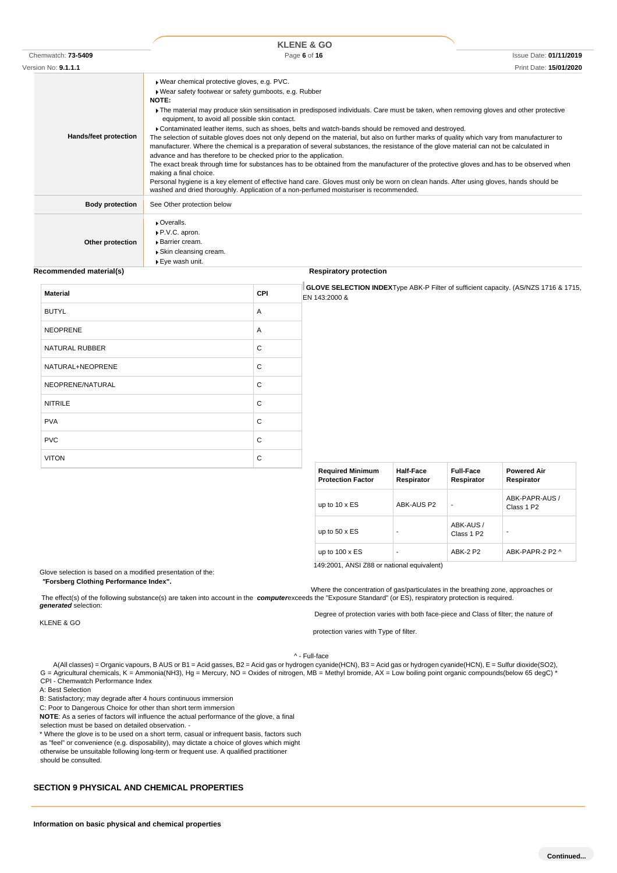|                            | <b>KLENE &amp; GO</b>                                                                                                                                                                                                                                                                                                                                                                                                                                                                                                                                                                                                                                                                                                                                                                                                                                                                                                                                                                                                                                                                                                                                                                    |                               |
|----------------------------|------------------------------------------------------------------------------------------------------------------------------------------------------------------------------------------------------------------------------------------------------------------------------------------------------------------------------------------------------------------------------------------------------------------------------------------------------------------------------------------------------------------------------------------------------------------------------------------------------------------------------------------------------------------------------------------------------------------------------------------------------------------------------------------------------------------------------------------------------------------------------------------------------------------------------------------------------------------------------------------------------------------------------------------------------------------------------------------------------------------------------------------------------------------------------------------|-------------------------------|
| Chemwatch: 73-5409         | Page 6 of 16                                                                                                                                                                                                                                                                                                                                                                                                                                                                                                                                                                                                                                                                                                                                                                                                                                                                                                                                                                                                                                                                                                                                                                             | <b>Issue Date: 01/11/2019</b> |
| Version No: <b>9.1.1.1</b> |                                                                                                                                                                                                                                                                                                                                                                                                                                                                                                                                                                                                                                                                                                                                                                                                                                                                                                                                                                                                                                                                                                                                                                                          | Print Date: 15/01/2020        |
| Hands/feet protection      | ▶ Wear chemical protective gloves, e.g. PVC.<br>Wear safety footwear or safety gumboots, e.g. Rubber<br>NOTE:<br>The material may produce skin sensitisation in predisposed individuals. Care must be taken, when removing gloves and other protective<br>equipment, to avoid all possible skin contact.<br>▶ Contaminated leather items, such as shoes, belts and watch-bands should be removed and destroyed.<br>The selection of suitable gloves does not only depend on the material, but also on further marks of quality which vary from manufacturer to<br>manufacturer. Where the chemical is a preparation of several substances, the resistance of the glove material can not be calculated in<br>advance and has therefore to be checked prior to the application.<br>The exact break through time for substances has to be obtained from the manufacturer of the protective gloves and has to be observed when<br>making a final choice.<br>Personal hygiene is a key element of effective hand care. Gloves must only be worn on clean hands. After using gloves, hands should be<br>washed and dried thoroughly. Application of a non-perfumed moisturiser is recommended. |                               |
| <b>Body protection</b>     | See Other protection below                                                                                                                                                                                                                                                                                                                                                                                                                                                                                                                                                                                                                                                                                                                                                                                                                                                                                                                                                                                                                                                                                                                                                               |                               |
| Other protection           | Overalls.<br>P.V.C. apron.<br><b>Barrier cream.</b><br>▶ Skin cleansing cream.<br>▶ Eye wash unit.                                                                                                                                                                                                                                                                                                                                                                                                                                                                                                                                                                                                                                                                                                                                                                                                                                                                                                                                                                                                                                                                                       |                               |

#### **Recommended material(s) Respiratory protection**

| <b>Material</b>  | CPI | GLOVE SELECTION INDEXType ABK-P Filter of sufficient capacity. (AS/NZS 1716 & 1715,<br>EN 143:2000 & |
|------------------|-----|------------------------------------------------------------------------------------------------------|
| <b>BUTYL</b>     | Α   |                                                                                                      |
| NEOPRENE         | Α   |                                                                                                      |
| NATURAL RUBBER   | С   |                                                                                                      |
| NATURAL+NEOPRENE | С   |                                                                                                      |
| NEOPRENE/NATURAL | C   |                                                                                                      |
| <b>NITRILE</b>   | C   |                                                                                                      |
| <b>PVA</b>       | C   |                                                                                                      |
| <b>PVC</b>       | C   |                                                                                                      |
| <b>VITON</b>     | С   |                                                                                                      |

| <b>Required Minimum</b><br><b>Protection Factor</b> | <b>Half-Face</b><br>Respirator | <b>Full-Face</b><br>Respirator      | <b>Powered Air</b><br>Respirator         |
|-----------------------------------------------------|--------------------------------|-------------------------------------|------------------------------------------|
| up to $10 \times ES$                                | ABK-AUS P2                     |                                     | ABK-PAPR-AUS /<br>Class 1 P <sub>2</sub> |
| up to $50 \times ES$                                | ۰                              | ABK-AUS /<br>Class 1 P <sub>2</sub> |                                          |
| up to $100 \times ES$                               | ۰                              | <b>ABK-2 P2</b>                     | ABK-PAPR-2 P2 ^                          |

Degree of protection varies with both face-piece and Class of filter; the nature of

Glove selection is based on a modified presentation of the:

*"***Forsberg Clothing Performance Index".**

Where the concentration of gas/particulates in the breathing zone, approaches or The effect(s) of the following substance(s) are taken into account in the *computer*exceeds the "Exposure Standard" (or ES), respiratory protection is required. *generated* selection:

KLENE & GO

protection varies with Type of filter.

^ - Full-face

.A(All classes) = Organic vapours, B AUS or B1 = Acid gasses, B2 = Acid gas or hydrogen cyanide(HCN), B3 = Acid gas or hydrogen cyanide(HCN), E = Sulfur dioxide(SO2),<br>\* G = Agricultural chemicals, K = Ammonia(NH3), Hg = Me CPI - Chemwatch Performance Index

A: Best Selection

B: Satisfactory; may degrade after 4 hours continuous immersion

C: Poor to Dangerous Choice for other than short term immersion

**NOTE**: As a series of factors will influence the actual performance of the glove, a final

selection must be based on detailed observation. -

\* Where the glove is to be used on a short term, casual or infrequent basis, factors such as "feel" or convenience (e.g. disposability), may dictate a choice of gloves which might otherwise be unsuitable following long-term or frequent use. A qualified practitioner should be consulted.

### **SECTION 9 PHYSICAL AND CHEMICAL PROPERTIES**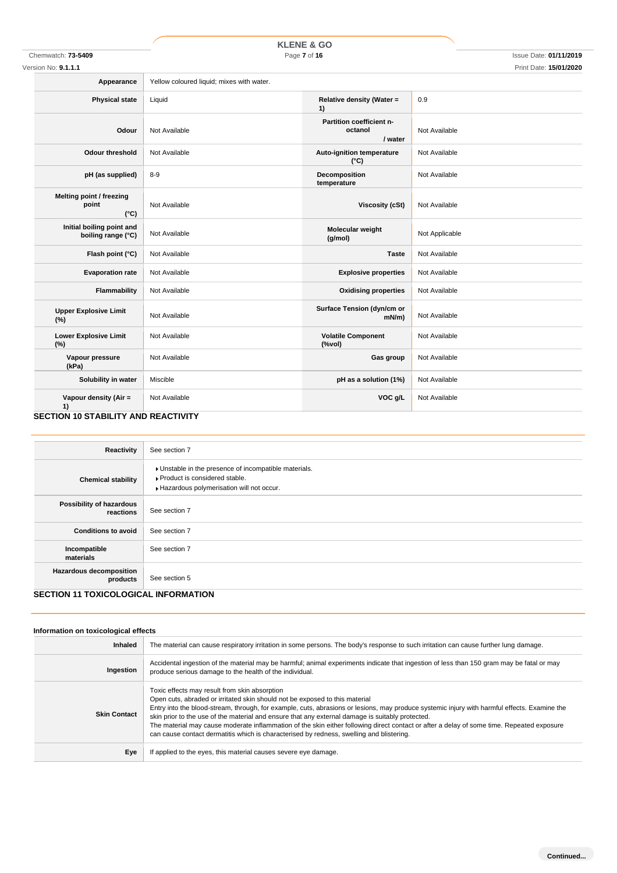# **KLENE & GO**

Version No: **9.1.1.1** Print Date: **15/01/2020**

| e: | Yellow coloured liquid: mixes with water |  |
|----|------------------------------------------|--|

| Appearance                                         | Yellow coloured liquid; mixes with water. |                                                                               |                |
|----------------------------------------------------|-------------------------------------------|-------------------------------------------------------------------------------|----------------|
| <b>Physical state</b>                              | Liquid                                    | Relative density (Water =<br>1)                                               | 0.9            |
| Odour                                              | Not Available                             | Partition coefficient n-<br>octanol<br>/ water                                | Not Available  |
| <b>Odour threshold</b>                             | Not Available                             | <b>Auto-ignition temperature</b><br>$(^{\circ}C)$                             | Not Available  |
| pH (as supplied)                                   | $8 - 9$                                   | Decomposition<br>temperature                                                  | Not Available  |
| Melting point / freezing<br>point<br>$(^{\circ}C)$ | Not Available                             | <b>Viscosity (cSt)</b>                                                        | Not Available  |
| Initial boiling point and<br>boiling range (°C)    | Not Available                             | Molecular weight<br>(g/mol)                                                   | Not Applicable |
| Flash point (°C)                                   | Not Available                             | <b>Taste</b>                                                                  | Not Available  |
| <b>Evaporation rate</b>                            | Not Available                             | <b>Explosive properties</b>                                                   | Not Available  |
| Flammability                                       | Not Available                             | <b>Oxidising properties</b>                                                   | Not Available  |
| <b>Upper Explosive Limit</b><br>(%)                | Not Available                             | Surface Tension (dyn/cm or<br>$mN/m$ )                                        | Not Available  |
| <b>Lower Explosive Limit</b><br>(%)                | Not Available                             | <b>Volatile Component</b><br>$(% \mathcal{L}^{\prime }\mathcal{N}^{\prime })$ | Not Available  |
| Vapour pressure<br>(kPa)                           | Not Available                             | Gas group                                                                     | Not Available  |
| Solubility in water                                | Miscible                                  | pH as a solution (1%)                                                         | Not Available  |
| Vapour density (Air =<br>1)                        | Not Available                             | VOC g/L                                                                       | Not Available  |

### **SECTION 10 STABILITY AND REACTIVITY**

| Reactivity                                                                                 | See section 7                                                                                                                    |
|--------------------------------------------------------------------------------------------|----------------------------------------------------------------------------------------------------------------------------------|
| <b>Chemical stability</b>                                                                  | Unstable in the presence of incompatible materials.<br>Product is considered stable.<br>Hazardous polymerisation will not occur. |
| Possibility of hazardous<br>reactions                                                      | See section 7                                                                                                                    |
| <b>Conditions to avoid</b>                                                                 | See section 7                                                                                                                    |
| Incompatible<br>materials                                                                  | See section 7                                                                                                                    |
| <b>Hazardous decomposition</b><br>products<br><b>OFOTION 44 TOVIOOL OOIQAL INFODUATION</b> | See section 5                                                                                                                    |

### **SECTION 11 TOXICOLOGICAL INFORMATION**

| Information on toxicological effects |                                                                                                                                                                                                                                                                                                                                                                                                                                                                                                                                                                                                                           |
|--------------------------------------|---------------------------------------------------------------------------------------------------------------------------------------------------------------------------------------------------------------------------------------------------------------------------------------------------------------------------------------------------------------------------------------------------------------------------------------------------------------------------------------------------------------------------------------------------------------------------------------------------------------------------|
| Inhaled                              | The material can cause respiratory irritation in some persons. The body's response to such irritation can cause further lung damage.                                                                                                                                                                                                                                                                                                                                                                                                                                                                                      |
| Ingestion                            | Accidental ingestion of the material may be harmful; animal experiments indicate that ingestion of less than 150 gram may be fatal or may<br>produce serious damage to the health of the individual.                                                                                                                                                                                                                                                                                                                                                                                                                      |
| <b>Skin Contact</b>                  | Toxic effects may result from skin absorption<br>Open cuts, abraded or irritated skin should not be exposed to this material<br>Entry into the blood-stream, through, for example, cuts, abrasions or lesions, may produce systemic injury with harmful effects. Examine the<br>skin prior to the use of the material and ensure that any external damage is suitably protected.<br>The material may cause moderate inflammation of the skin either following direct contact or after a delay of some time. Repeated exposure<br>can cause contact dermatitis which is characterised by redness, swelling and blistering. |
| Eye                                  | If applied to the eyes, this material causes severe eye damage.                                                                                                                                                                                                                                                                                                                                                                                                                                                                                                                                                           |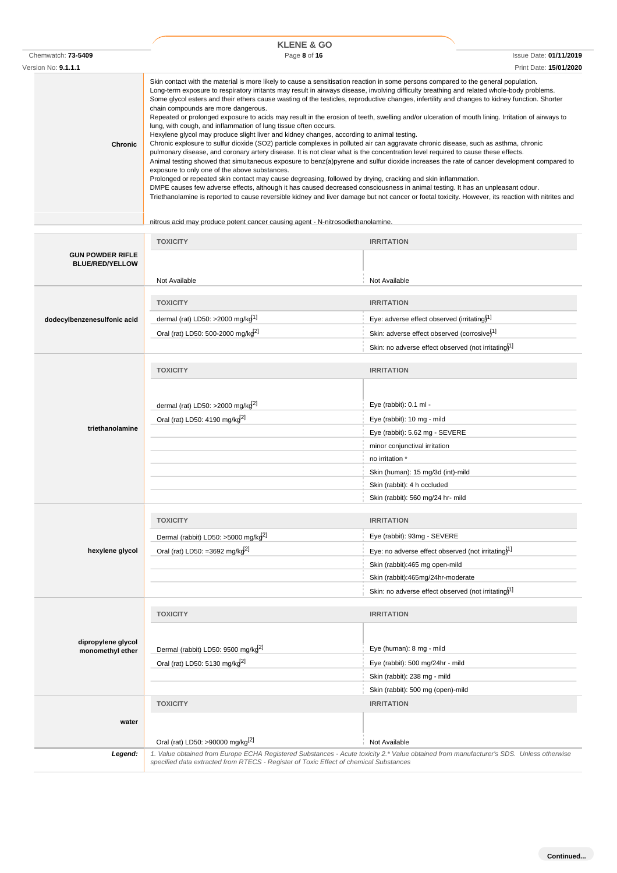|                     | <b>KLENE &amp; GO</b>                                                                                                                                                                                                                                                                                                                                                                                                                                                                                                                                                                                                                                                                                                                                                                                                                                                                                                                                                                                                                                                                                                                                                                                                                                                                                                                                                                                                                                                                                                                                                                                                                                                          |                               |  |
|---------------------|--------------------------------------------------------------------------------------------------------------------------------------------------------------------------------------------------------------------------------------------------------------------------------------------------------------------------------------------------------------------------------------------------------------------------------------------------------------------------------------------------------------------------------------------------------------------------------------------------------------------------------------------------------------------------------------------------------------------------------------------------------------------------------------------------------------------------------------------------------------------------------------------------------------------------------------------------------------------------------------------------------------------------------------------------------------------------------------------------------------------------------------------------------------------------------------------------------------------------------------------------------------------------------------------------------------------------------------------------------------------------------------------------------------------------------------------------------------------------------------------------------------------------------------------------------------------------------------------------------------------------------------------------------------------------------|-------------------------------|--|
| Chemwatch: 73-5409  | Page 8 of 16                                                                                                                                                                                                                                                                                                                                                                                                                                                                                                                                                                                                                                                                                                                                                                                                                                                                                                                                                                                                                                                                                                                                                                                                                                                                                                                                                                                                                                                                                                                                                                                                                                                                   | <b>Issue Date: 01/11/2019</b> |  |
| Version No: 9.1.1.1 |                                                                                                                                                                                                                                                                                                                                                                                                                                                                                                                                                                                                                                                                                                                                                                                                                                                                                                                                                                                                                                                                                                                                                                                                                                                                                                                                                                                                                                                                                                                                                                                                                                                                                | Print Date: 15/01/2020        |  |
| Chronic             | Skin contact with the material is more likely to cause a sensitisation reaction in some persons compared to the general population.<br>Long-term exposure to respiratory irritants may result in airways disease, involving difficulty breathing and related whole-body problems.<br>Some glycol esters and their ethers cause wasting of the testicles, reproductive changes, infertility and changes to kidney function. Shorter<br>chain compounds are more dangerous.<br>Repeated or prolonged exposure to acids may result in the erosion of teeth, swelling and/or ulceration of mouth lining. Irritation of airways to<br>lung, with cough, and inflammation of lung tissue often occurs.<br>Hexylene glycol may produce slight liver and kidney changes, according to animal testing.<br>Chronic explosure to sulfur dioxide (SO2) particle complexes in polluted air can aggravate chronic disease, such as asthma, chronic<br>pulmonary disease, and coronary artery disease. It is not clear what is the concentration level required to cause these effects.<br>Animal testing showed that simultaneous exposure to benz(a)pyrene and sulfur dioxide increases the rate of cancer development compared to<br>exposure to only one of the above substances.<br>Prolonged or repeated skin contact may cause degreasing, followed by drying, cracking and skin inflammation.<br>DMPE causes few adverse effects, although it has caused decreased consciousness in animal testing. It has an unpleasant odour.<br>Triethanolamine is reported to cause reversible kidney and liver damage but not cancer or foetal toxicity. However, its reaction with nitrites and |                               |  |

nitrous acid may produce potent cancer causing agent - N-nitrosodiethanolamine.

|                             | <b>TOXICITY</b>                                                                             | <b>IRRITATION</b>                                                                                                                      |
|-----------------------------|---------------------------------------------------------------------------------------------|----------------------------------------------------------------------------------------------------------------------------------------|
| <b>GUN POWDER RIFLE</b>     |                                                                                             |                                                                                                                                        |
| <b>BLUE/RED/YELLOW</b>      |                                                                                             |                                                                                                                                        |
|                             | Not Available                                                                               | Not Available                                                                                                                          |
|                             | <b>TOXICITY</b>                                                                             | <b>IRRITATION</b>                                                                                                                      |
|                             |                                                                                             |                                                                                                                                        |
| dodecylbenzenesulfonic acid | dermal (rat) LD50: >2000 mg/kg <sup>1]</sup>                                                | Eye: adverse effect observed (irritating) <sup>1]</sup>                                                                                |
|                             | Oral (rat) LD50: 500-2000 mg/kg <sup>2]</sup>                                               | Skin: adverse effect observed (corrosive) <sup>1]</sup>                                                                                |
|                             |                                                                                             | Skin: no adverse effect observed (not irritating) <sup>1]</sup>                                                                        |
|                             | <b>TOXICITY</b>                                                                             | <b>IRRITATION</b>                                                                                                                      |
|                             |                                                                                             |                                                                                                                                        |
|                             |                                                                                             |                                                                                                                                        |
|                             | dermal (rat) LD50: >2000 mg/kg <sup>2]</sup>                                                | Eye (rabbit): 0.1 ml -                                                                                                                 |
|                             | Oral (rat) LD50: 4190 mg/kg <sup>2]</sup>                                                   | Eye (rabbit): 10 mg - mild                                                                                                             |
| triethanolamine             |                                                                                             | Eye (rabbit): 5.62 mg - SEVERE                                                                                                         |
|                             |                                                                                             | minor conjunctival irritation                                                                                                          |
|                             |                                                                                             | no irritation *                                                                                                                        |
|                             |                                                                                             | Skin (human): 15 mg/3d (int)-mild                                                                                                      |
|                             |                                                                                             | Skin (rabbit): 4 h occluded                                                                                                            |
|                             |                                                                                             | Skin (rabbit): 560 mg/24 hr- mild                                                                                                      |
|                             |                                                                                             |                                                                                                                                        |
|                             |                                                                                             |                                                                                                                                        |
|                             | <b>TOXICITY</b>                                                                             | <b>IRRITATION</b>                                                                                                                      |
|                             | Dermal (rabbit) LD50: >5000 mg/kg <sup>2]</sup>                                             | Eye (rabbit): 93mg - SEVERE                                                                                                            |
| hexylene glycol             | Oral (rat) LD50: =3692 mg/kg <sup>2]</sup>                                                  | Eye: no adverse effect observed (not irritating) <sup>1]</sup>                                                                         |
|                             |                                                                                             | Skin (rabbit):465 mg open-mild                                                                                                         |
|                             |                                                                                             | Skin (rabbit):465mg/24hr-moderate                                                                                                      |
|                             |                                                                                             | Skin: no adverse effect observed (not irritating) <sup>1]</sup>                                                                        |
|                             |                                                                                             |                                                                                                                                        |
|                             | <b>TOXICITY</b>                                                                             | <b>IRRITATION</b>                                                                                                                      |
|                             |                                                                                             |                                                                                                                                        |
| dipropylene glycol          |                                                                                             | Eye (human): 8 mg - mild                                                                                                               |
| monomethyl ether            | Dermal (rabbit) LD50: 9500 mg/kg <sup>2]</sup><br>Oral (rat) LD50: 5130 mg/kg <sup>2]</sup> | Eye (rabbit): 500 mg/24hr - mild                                                                                                       |
|                             |                                                                                             | Skin (rabbit): 238 mg - mild                                                                                                           |
|                             |                                                                                             | Skin (rabbit): 500 mg (open)-mild                                                                                                      |
|                             | <b>TOXICITY</b>                                                                             | <b>IRRITATION</b>                                                                                                                      |
|                             |                                                                                             |                                                                                                                                        |
| water                       |                                                                                             |                                                                                                                                        |
|                             | Oral (rat) LD50: >90000 mg/kg <sup>[2]</sup>                                                | Not Available                                                                                                                          |
| Legend:                     | specified data extracted from RTECS - Register of Toxic Effect of chemical Substances       | 1. Value obtained from Europe ECHA Registered Substances - Acute toxicity 2.* Value obtained from manufacturer's SDS. Unless otherwise |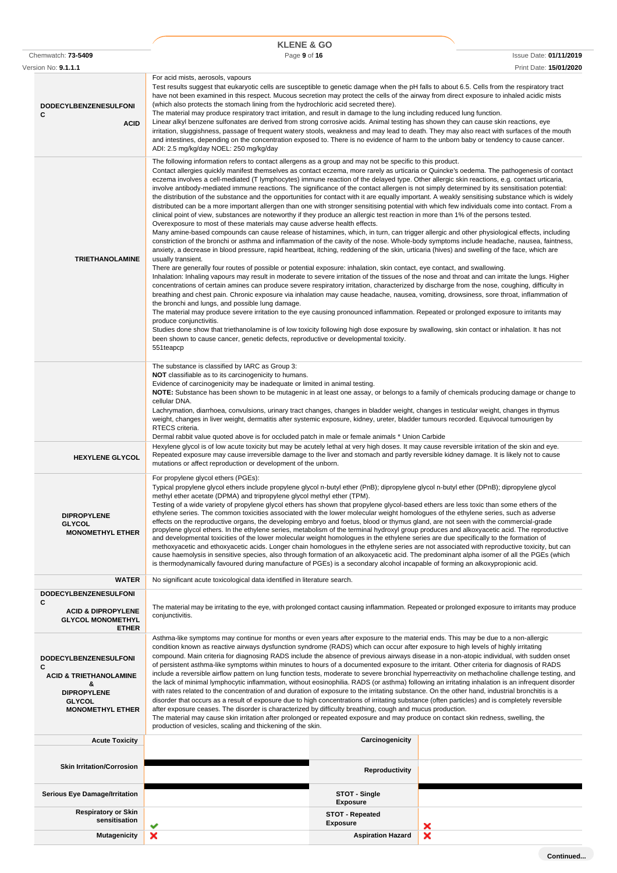|                                                                                                                                               | <b>KLENE &amp; GO</b>                                                                                                                                                                                                                                                                                                                                                                                                                                                                                                                                                                                                                                                                                                                                                                                                                                                                                                                                                                                                                                                                                                                                                                                                                                                                                                                                                                                                                                                                                                                                                                                                                                                                                                                                                                                                                                                                                                                                                                                                                                                                                                                                             |                                                       |                                                                                                                                                                                                                                                                                                                                                                                                                                               |
|-----------------------------------------------------------------------------------------------------------------------------------------------|-------------------------------------------------------------------------------------------------------------------------------------------------------------------------------------------------------------------------------------------------------------------------------------------------------------------------------------------------------------------------------------------------------------------------------------------------------------------------------------------------------------------------------------------------------------------------------------------------------------------------------------------------------------------------------------------------------------------------------------------------------------------------------------------------------------------------------------------------------------------------------------------------------------------------------------------------------------------------------------------------------------------------------------------------------------------------------------------------------------------------------------------------------------------------------------------------------------------------------------------------------------------------------------------------------------------------------------------------------------------------------------------------------------------------------------------------------------------------------------------------------------------------------------------------------------------------------------------------------------------------------------------------------------------------------------------------------------------------------------------------------------------------------------------------------------------------------------------------------------------------------------------------------------------------------------------------------------------------------------------------------------------------------------------------------------------------------------------------------------------------------------------------------------------|-------------------------------------------------------|-----------------------------------------------------------------------------------------------------------------------------------------------------------------------------------------------------------------------------------------------------------------------------------------------------------------------------------------------------------------------------------------------------------------------------------------------|
| Chemwatch: 73-5409                                                                                                                            | Page 9 of 16                                                                                                                                                                                                                                                                                                                                                                                                                                                                                                                                                                                                                                                                                                                                                                                                                                                                                                                                                                                                                                                                                                                                                                                                                                                                                                                                                                                                                                                                                                                                                                                                                                                                                                                                                                                                                                                                                                                                                                                                                                                                                                                                                      |                                                       | <b>Issue Date: 01/11/2019</b>                                                                                                                                                                                                                                                                                                                                                                                                                 |
| Version No: <b>9.1.1.1</b><br><b>DODECYLBENZENESULFONI</b><br>C<br><b>ACID</b>                                                                | For acid mists, aerosols, vapours<br>Test results suggest that eukaryotic cells are susceptible to genetic damage when the pH falls to about 6.5. Cells from the respiratory tract<br>have not been examined in this respect. Mucous secretion may protect the cells of the airway from direct exposure to inhaled acidic mists<br>(which also protects the stomach lining from the hydrochloric acid secreted there).<br>The material may produce respiratory tract irritation, and result in damage to the lung including reduced lung function.<br>Linear alkyl benzene sulfonates are derived from strong corrosive acids. Animal testing has shown they can cause skin reactions, eye<br>irritation, sluggishness, passage of frequent watery stools, weakness and may lead to death. They may also react with surfaces of the mouth<br>and intestines, depending on the concentration exposed to. There is no evidence of harm to the unborn baby or tendency to cause cancer.<br>ADI: 2.5 mg/kg/day NOEL: 250 mg/kg/day                                                                                                                                                                                                                                                                                                                                                                                                                                                                                                                                                                                                                                                                                                                                                                                                                                                                                                                                                                                                                                                                                                                                    |                                                       | Print Date: 15/01/2020                                                                                                                                                                                                                                                                                                                                                                                                                        |
| <b>TRIETHANOLAMINE</b>                                                                                                                        | The following information refers to contact allergens as a group and may not be specific to this product.<br>eczema involves a cell-mediated (T lymphocytes) immune reaction of the delayed type. Other allergic skin reactions, e.g. contact urticaria,<br>involve antibody-mediated immune reactions. The significance of the contact allergen is not simply determined by its sensitisation potential:<br>distributed can be a more important allergen than one with stronger sensitising potential with which few individuals come into contact. From a<br>clinical point of view, substances are noteworthy if they produce an allergic test reaction in more than 1% of the persons tested.<br>Overexposure to most of these materials may cause adverse health effects.<br>Many amine-based compounds can cause release of histamines, which, in turn, can trigger allergic and other physiological effects, including<br>anxiety, a decrease in blood pressure, rapid heartbeat, itching, reddening of the skin, urticaria (hives) and swelling of the face, which are<br>usually transient.<br>There are generally four routes of possible or potential exposure: inhalation, skin contact, eye contact, and swallowing.<br>Inhalation: Inhaling vapours may result in moderate to severe irritation of the tissues of the nose and throat and can irritate the lungs. Higher<br>concentrations of certain amines can produce severe respiratory irritation, characterized by discharge from the nose, coughing, difficulty in<br>breathing and chest pain. Chronic exposure via inhalation may cause headache, nausea, vomiting, drowsiness, sore throat, inflammation of<br>the bronchi and lungs, and possible lung damage.<br>The material may produce severe irritation to the eye causing pronounced inflammation. Repeated or prolonged exposure to irritants may<br>produce conjunctivitis.<br>Studies done show that triethanolamine is of low toxicity following high dose exposure by swallowing, skin contact or inhalation. It has not<br>been shown to cause cancer, genetic defects, reproductive or developmental toxicity.<br>551teapcp |                                                       | Contact allergies quickly manifest themselves as contact eczema, more rarely as urticaria or Quincke's oedema. The pathogenesis of contact<br>the distribution of the substance and the opportunities for contact with it are equally important. A weakly sensitising substance which is widely<br>constriction of the bronchi or asthma and inflammation of the cavity of the nose. Whole-body symptoms include headache, nausea, faintness, |
| <b>HEXYLENE GLYCOL</b>                                                                                                                        | The substance is classified by IARC as Group 3:<br><b>NOT</b> classifiable as to its carcinogenicity to humans.<br>Evidence of carcinogenicity may be inadequate or limited in animal testing.<br>cellular DNA.<br>Lachrymation, diarrhoea, convulsions, urinary tract changes, changes in bladder weight, changes in testicular weight, changes in thymus<br>weight, changes in liver weight, dermatitis after systemic exposure, kidney, ureter, bladder tumours recorded. Equivocal tumourigen by<br>RTECS criteria.<br>Dermal rabbit value quoted above is for occluded patch in male or female animals * Union Carbide<br>Hexylene glycol is of low acute toxicity but may be acutely lethal at very high doses. It may cause reversible irritation of the skin and eye.<br>Repeated exposure may cause irreversible damage to the liver and stomach and partly reversible kidney damage. It is likely not to cause                                                                                                                                                                                                                                                                                                                                                                                                                                                                                                                                                                                                                                                                                                                                                                                                                                                                                                                                                                                                                                                                                                                                                                                                                                          |                                                       | NOTE: Substance has been shown to be mutagenic in at least one assay, or belongs to a family of chemicals producing damage or change to                                                                                                                                                                                                                                                                                                       |
| <b>DIPROPYLENE</b><br><b>GLYCOL</b><br><b>MONOMETHYL ETHER</b>                                                                                | mutations or affect reproduction or development of the unborn.<br>For propylene glycol ethers (PGEs):<br>Typical propylene glycol ethers include propylene glycol n-butyl ether (PnB); dipropylene glycol n-butyl ether (DPnB); dipropylene glycol<br>methyl ether acetate (DPMA) and tripropylene glycol methyl ether (TPM).<br>Testing of a wide variety of propylene glycol ethers has shown that propylene glycol-based ethers are less toxic than some ethers of the<br>ethylene series. The common toxicities associated with the lower molecular weight homologues of the ethylene series, such as adverse<br>effects on the reproductive organs, the developing embryo and foetus, blood or thymus gland, are not seen with the commercial-grade<br>propylene glycol ethers. In the ethylene series, metabolism of the terminal hydroxyl group produces and alkoxyacetic acid. The reproductive<br>and developmental toxicities of the lower molecular weight homologues in the ethylene series are due specifically to the formation of<br>methoxyacetic and ethoxyacetic acids. Longer chain homologues in the ethylene series are not associated with reproductive toxicity, but can<br>cause haemolysis in sensitive species, also through formation of an alkoxyacetic acid. The predominant alpha isomer of all the PGEs (which<br>is thermodynamically favoured during manufacture of PGEs) is a secondary alcohol incapable of forming an alkoxypropionic acid.                                                                                                                                                                                                                                                                                                                                                                                                                                                                                                                                                                                                                                                                                   |                                                       |                                                                                                                                                                                                                                                                                                                                                                                                                                               |
| <b>WATER</b>                                                                                                                                  | No significant acute toxicological data identified in literature search.                                                                                                                                                                                                                                                                                                                                                                                                                                                                                                                                                                                                                                                                                                                                                                                                                                                                                                                                                                                                                                                                                                                                                                                                                                                                                                                                                                                                                                                                                                                                                                                                                                                                                                                                                                                                                                                                                                                                                                                                                                                                                          |                                                       |                                                                                                                                                                                                                                                                                                                                                                                                                                               |
| <b>DODECYLBENZENESULFONI</b><br>C<br><b>ACID &amp; DIPROPYLENE</b><br><b>GLYCOL MONOMETHYL</b><br><b>ETHER</b>                                | conjunctivitis.                                                                                                                                                                                                                                                                                                                                                                                                                                                                                                                                                                                                                                                                                                                                                                                                                                                                                                                                                                                                                                                                                                                                                                                                                                                                                                                                                                                                                                                                                                                                                                                                                                                                                                                                                                                                                                                                                                                                                                                                                                                                                                                                                   |                                                       | The material may be irritating to the eye, with prolonged contact causing inflammation. Repeated or prolonged exposure to irritants may produce                                                                                                                                                                                                                                                                                               |
| <b>DODECYLBENZENESULFONI</b><br>С<br><b>ACID &amp; TRIETHANOLAMINE</b><br>&<br><b>DIPROPYLENE</b><br><b>GLYCOL</b><br><b>MONOMETHYL ETHER</b> | Asthma-like symptoms may continue for months or even years after exposure to the material ends. This may be due to a non-allergic<br>condition known as reactive airways dysfunction syndrome (RADS) which can occur after exposure to high levels of highly irritating<br>compound. Main criteria for diagnosing RADS include the absence of previous airways disease in a non-atopic individual, with sudden onset<br>of persistent asthma-like symptoms within minutes to hours of a documented exposure to the irritant. Other criteria for diagnosis of RADS<br>with rates related to the concentration of and duration of exposure to the irritating substance. On the other hand, industrial bronchitis is a<br>disorder that occurs as a result of exposure due to high concentrations of irritating substance (often particles) and is completely reversible<br>after exposure ceases. The disorder is characterized by difficulty breathing, cough and mucus production.<br>The material may cause skin irritation after prolonged or repeated exposure and may produce on contact skin redness, swelling, the<br>production of vesicles, scaling and thickening of the skin.                                                                                                                                                                                                                                                                                                                                                                                                                                                                                                                                                                                                                                                                                                                                                                                                                                                                                                                                                                           |                                                       | include a reversible airflow pattern on lung function tests, moderate to severe bronchial hyperreactivity on methacholine challenge testing, and<br>the lack of minimal lymphocytic inflammation, without eosinophilia. RADS (or asthma) following an irritating inhalation is an infrequent disorder                                                                                                                                         |
| <b>Acute Toxicity</b>                                                                                                                         |                                                                                                                                                                                                                                                                                                                                                                                                                                                                                                                                                                                                                                                                                                                                                                                                                                                                                                                                                                                                                                                                                                                                                                                                                                                                                                                                                                                                                                                                                                                                                                                                                                                                                                                                                                                                                                                                                                                                                                                                                                                                                                                                                                   | Carcinogenicity                                       |                                                                                                                                                                                                                                                                                                                                                                                                                                               |
| <b>Skin Irritation/Corrosion</b>                                                                                                              |                                                                                                                                                                                                                                                                                                                                                                                                                                                                                                                                                                                                                                                                                                                                                                                                                                                                                                                                                                                                                                                                                                                                                                                                                                                                                                                                                                                                                                                                                                                                                                                                                                                                                                                                                                                                                                                                                                                                                                                                                                                                                                                                                                   | <b>Reproductivity</b>                                 |                                                                                                                                                                                                                                                                                                                                                                                                                                               |
| <b>Serious Eye Damage/Irritation</b>                                                                                                          |                                                                                                                                                                                                                                                                                                                                                                                                                                                                                                                                                                                                                                                                                                                                                                                                                                                                                                                                                                                                                                                                                                                                                                                                                                                                                                                                                                                                                                                                                                                                                                                                                                                                                                                                                                                                                                                                                                                                                                                                                                                                                                                                                                   | STOT - Single                                         |                                                                                                                                                                                                                                                                                                                                                                                                                                               |
| <b>Respiratory or Skin</b><br>sensitisation                                                                                                   |                                                                                                                                                                                                                                                                                                                                                                                                                                                                                                                                                                                                                                                                                                                                                                                                                                                                                                                                                                                                                                                                                                                                                                                                                                                                                                                                                                                                                                                                                                                                                                                                                                                                                                                                                                                                                                                                                                                                                                                                                                                                                                                                                                   | <b>Exposure</b><br>STOT - Repeated<br><b>Exposure</b> |                                                                                                                                                                                                                                                                                                                                                                                                                                               |
| <b>Mutagenicity</b>                                                                                                                           | ×                                                                                                                                                                                                                                                                                                                                                                                                                                                                                                                                                                                                                                                                                                                                                                                                                                                                                                                                                                                                                                                                                                                                                                                                                                                                                                                                                                                                                                                                                                                                                                                                                                                                                                                                                                                                                                                                                                                                                                                                                                                                                                                                                                 | <b>Aspiration Hazard</b>                              | ×<br>×                                                                                                                                                                                                                                                                                                                                                                                                                                        |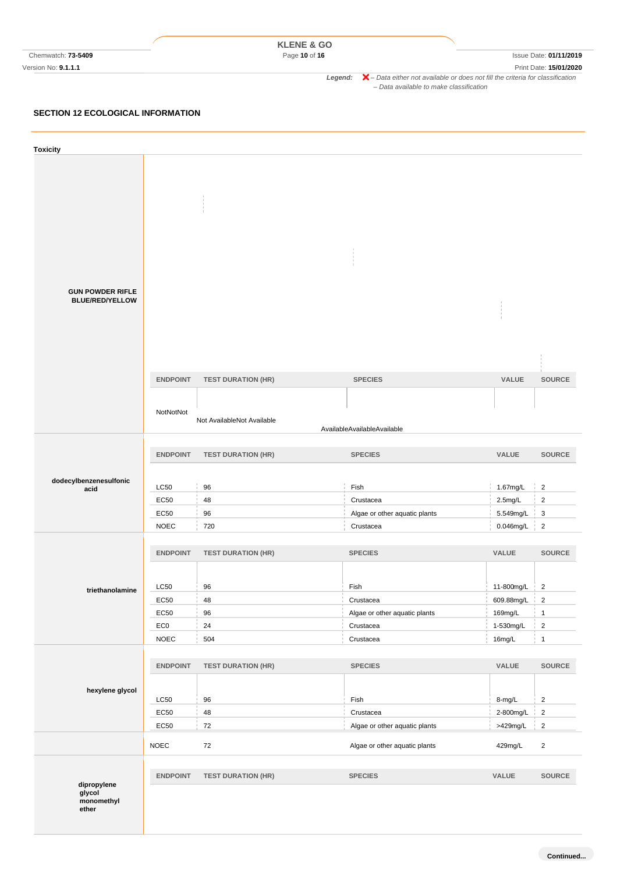|                           | <b>KLENE &amp; GO</b> |                                                                                                    |
|---------------------------|-----------------------|----------------------------------------------------------------------------------------------------|
| Chemwatch: <b>73-5409</b> | Page 10 of 16         | Issue Date: 01/11/2019                                                                             |
| Version No: 9.1.1.1       |                       | Print Date: 15/01/2020                                                                             |
|                           | Leaend:               | $\blacktriangleright$ - Data either not available or does not fill the criteria for classification |
|                           |                       | - Data available to make classification                                                            |

### **SECTION 12 ECOLOGICAL INFORMATION**

| <b>Toxicity</b>         |                         |                            |                                            |                       |                                  |
|-------------------------|-------------------------|----------------------------|--------------------------------------------|-----------------------|----------------------------------|
|                         |                         |                            |                                            |                       |                                  |
|                         |                         |                            |                                            |                       |                                  |
|                         |                         |                            |                                            |                       |                                  |
|                         |                         |                            |                                            |                       |                                  |
|                         |                         |                            |                                            |                       |                                  |
|                         |                         |                            |                                            |                       |                                  |
|                         |                         |                            |                                            |                       |                                  |
|                         |                         |                            |                                            |                       |                                  |
| <b>GUN POWDER RIFLE</b> |                         |                            |                                            |                       |                                  |
| <b>BLUE/RED/YELLOW</b>  |                         |                            |                                            |                       |                                  |
|                         |                         |                            |                                            |                       |                                  |
|                         |                         |                            |                                            |                       |                                  |
|                         |                         |                            |                                            |                       |                                  |
|                         |                         |                            |                                            |                       |                                  |
|                         | <b>ENDPOINT</b>         | <b>TEST DURATION (HR)</b>  | <b>SPECIES</b>                             | VALUE                 | <b>SOURCE</b>                    |
|                         |                         |                            |                                            |                       |                                  |
|                         |                         |                            |                                            |                       |                                  |
|                         | NotNotNot               | Not AvailableNot Available |                                            |                       |                                  |
|                         |                         |                            | AvailableAvailableAvailable                |                       |                                  |
|                         | <b>ENDPOINT</b>         | <b>TEST DURATION (HR)</b>  | <b>SPECIES</b>                             | VALUE                 | <b>SOURCE</b>                    |
|                         |                         |                            |                                            |                       |                                  |
| dodecylbenzenesulfonic  |                         |                            |                                            |                       |                                  |
| acid                    | <b>LC50</b>             | 96                         | Fish                                       | 1.67mg/L              | $\overline{2}$<br>$\mathbb{R}^n$ |
|                         | <b>EC50</b>             | 48                         | Crustacea                                  | $2.5 \text{mg/L}$     | $\overline{2}$                   |
|                         | <b>EC50</b>             | 96                         | Algae or other aquatic plants              | 5.549mg/L             | 3<br>$\mathbb{R}^2$              |
|                         | <b>NOEC</b>             | 720                        | Crustacea                                  | 0.046mg/L             | $\overline{2}$                   |
|                         | <b>ENDPOINT</b>         | <b>TEST DURATION (HR)</b>  | <b>SPECIES</b>                             | VALUE                 | <b>SOURCE</b>                    |
|                         |                         |                            |                                            |                       |                                  |
|                         |                         |                            |                                            |                       |                                  |
| triethanolamine         | LC50                    | 96                         | Fish                                       | 11-800mg/L            | $\overline{2}$                   |
|                         | <b>EC50</b>             | 48                         | Crustacea                                  | 609.88mg/L            | $\sqrt{2}$                       |
|                         | EC50<br>EC <sub>0</sub> | 96<br>24                   | Algae or other aquatic plants<br>Crustacea | 169mg/L<br>1-530mg/L  | $\mathbf{1}$<br>$\overline{2}$   |
|                         | <b>NOEC</b>             | 504                        | Crustacea                                  | 16mg/L                | $\mathbf{1}$                     |
|                         |                         |                            |                                            |                       |                                  |
|                         | <b>ENDPOINT</b>         | <b>TEST DURATION (HR)</b>  | <b>SPECIES</b>                             | VALUE                 | SOURCE                           |
|                         |                         |                            |                                            |                       |                                  |
| hexylene glycol         |                         |                            |                                            |                       |                                  |
|                         | LC50                    | 96                         | Fish                                       | 8-mg/L                | $\overline{2}$                   |
|                         | EC50<br>EC50            | 48<br>72                   | Crustacea<br>Algae or other aquatic plants | 2-800mg/L<br>>429mg/L | $\overline{2}$<br>$\overline{2}$ |
|                         |                         |                            |                                            |                       |                                  |
|                         | <b>NOEC</b>             | 72                         | Algae or other aquatic plants              | 429mg/L               | $\overline{2}$                   |
|                         |                         |                            |                                            |                       |                                  |
|                         | <b>ENDPOINT</b>         | <b>TEST DURATION (HR)</b>  | <b>SPECIES</b>                             | VALUE                 | SOURCE                           |
| dipropylene<br>glycol   |                         |                            |                                            |                       |                                  |
| monomethyl<br>ether     |                         |                            |                                            |                       |                                  |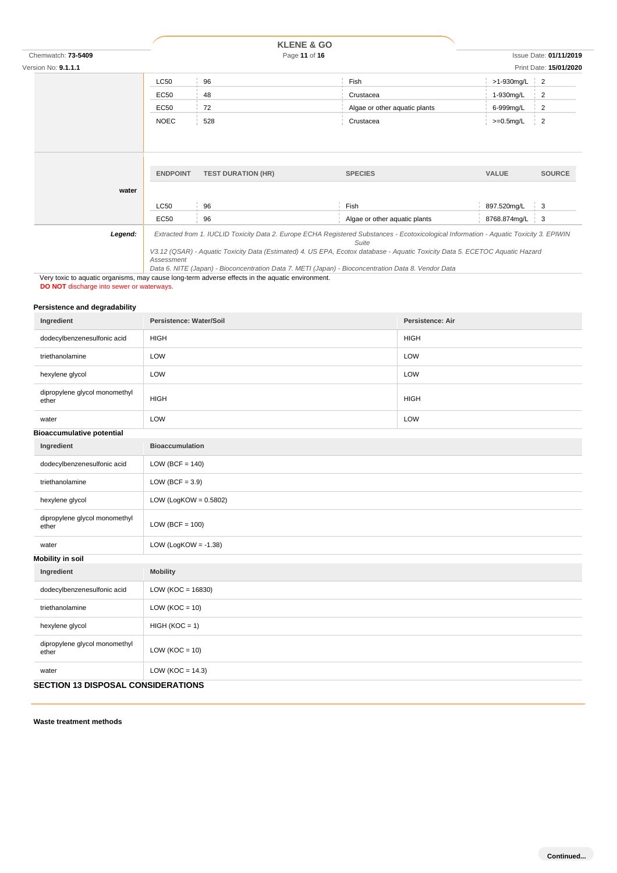|                            |                 | <b>KLENE &amp; GO</b>     |                                                                                                                                                                                                                                                                                  |                  |                                           |
|----------------------------|-----------------|---------------------------|----------------------------------------------------------------------------------------------------------------------------------------------------------------------------------------------------------------------------------------------------------------------------------|------------------|-------------------------------------------|
| Chemwatch: 73-5409         |                 | Page 11 of 16             |                                                                                                                                                                                                                                                                                  |                  | <b>Issue Date: 01/11/2019</b>             |
| Version No: <b>9.1.1.1</b> |                 |                           |                                                                                                                                                                                                                                                                                  |                  | Print Date: 15/01/2020                    |
|                            | <b>LC50</b>     | 96                        | Fish                                                                                                                                                                                                                                                                             | $>1-930$ mg/L 2  |                                           |
|                            | <b>EC50</b>     | 48                        | Crustacea                                                                                                                                                                                                                                                                        | 1-930mg/L        | $\overline{2}$                            |
|                            | <b>EC50</b>     | 72                        | Algae or other aquatic plants                                                                                                                                                                                                                                                    | 6-999mg/L        | $\overline{2}$                            |
|                            | <b>NOEC</b>     | 528                       | Crustacea                                                                                                                                                                                                                                                                        | $>=0.5mg/L$      | $\begin{array}{cc} \cdot & 2 \end{array}$ |
|                            | <b>ENDPOINT</b> | <b>TEST DURATION (HR)</b> | <b>SPECIES</b>                                                                                                                                                                                                                                                                   | <b>VALUE</b>     | <b>SOURCE</b>                             |
| water                      |                 |                           |                                                                                                                                                                                                                                                                                  |                  |                                           |
|                            | <b>LC50</b>     | 96                        | Fish                                                                                                                                                                                                                                                                             | 897.520mg/L      | $\frac{1}{3}$                             |
|                            | <b>EC50</b>     | 96                        | Algae or other aquatic plants                                                                                                                                                                                                                                                    | 8768.874mg/L   3 |                                           |
| Legend:                    | Assessment      |                           | Extracted from 1. IUCLID Toxicity Data 2. Europe ECHA Registered Substances - Ecotoxicological Information - Aquatic Toxicity 3. EPIWIN<br>Suite<br>V3.12 (QSAR) - Aquatic Toxicity Data (Estimated) 4. US EPA, Ecotox database - Aquatic Toxicity Data 5. ECETOC Aquatic Hazard |                  |                                           |

*Data 6. NITE (Japan) - Bioconcentration Data 7. METI (Japan) - Bioconcentration Data 8. Vendor Data* Very toxic to aquatic organisms, may cause long-term adverse effects in the aquatic environment.

**DO NOT** discharge into sewer or waterways.

### **Persistence and degradability**

| Ingredient                                | Persistence: Water/Soil  | Persistence: Air |
|-------------------------------------------|--------------------------|------------------|
| dodecylbenzenesulfonic acid               | <b>HIGH</b>              | <b>HIGH</b>      |
| triethanolamine                           | LOW                      | LOW              |
| hexylene glycol                           | LOW                      | LOW              |
| dipropylene glycol monomethyl<br>ether    | <b>HIGH</b>              | <b>HIGH</b>      |
| water                                     | LOW                      | LOW              |
| <b>Bioaccumulative potential</b>          |                          |                  |
| Ingredient                                | <b>Bioaccumulation</b>   |                  |
| dodecylbenzenesulfonic acid               | LOW (BCF = $140$ )       |                  |
| triethanolamine                           | LOW (BCF = $3.9$ )       |                  |
| hexylene glycol                           | LOW (LogKOW = $0.5802$ ) |                  |
| dipropylene glycol monomethyl<br>ether    | $LOW (BCF = 100)$        |                  |
| water                                     | LOW (LogKOW = $-1.38$ )  |                  |
| <b>Mobility in soil</b>                   |                          |                  |
| Ingredient                                | <b>Mobility</b>          |                  |
| dodecylbenzenesulfonic acid               | LOW ( $KOC = 16830$ )    |                  |
| triethanolamine                           | $LOW (KOC = 10)$         |                  |
| hexylene glycol                           | $HIGH (KOC = 1)$         |                  |
| dipropylene glycol monomethyl<br>ether    | LOW ( $KOC = 10$ )       |                  |
| water                                     | LOW ( $KOC = 14.3$ )     |                  |
| <b>SECTION 13 DISPOSAL CONSIDERATIONS</b> |                          |                  |

**Waste treatment methods**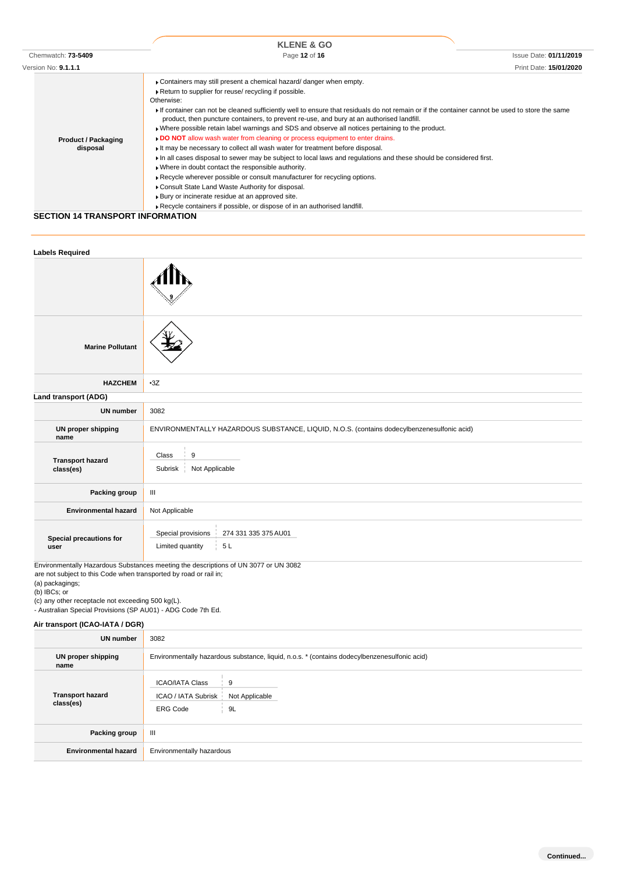| Chemwatch: 73-5409                                            | <b>KLENE &amp; GO</b><br>Page 12 of 16                                                                                                                                                                                                                                                                                                                                                                                                                                                                                                                                                                                                                                                                                                                                                                                                                                                                                                                                                                                                                                                                    | <b>Issue Date: 01/11/2019</b> |
|---------------------------------------------------------------|-----------------------------------------------------------------------------------------------------------------------------------------------------------------------------------------------------------------------------------------------------------------------------------------------------------------------------------------------------------------------------------------------------------------------------------------------------------------------------------------------------------------------------------------------------------------------------------------------------------------------------------------------------------------------------------------------------------------------------------------------------------------------------------------------------------------------------------------------------------------------------------------------------------------------------------------------------------------------------------------------------------------------------------------------------------------------------------------------------------|-------------------------------|
| Version No: 9.1.1.1<br><b>Product / Packaging</b><br>disposal | • Containers may still present a chemical hazard/ danger when empty.<br>Return to supplier for reuse/ recycling if possible.<br>Otherwise:<br>If container can not be cleaned sufficiently well to ensure that residuals do not remain or if the container cannot be used to store the same<br>product, then puncture containers, to prevent re-use, and bury at an authorised landfill.<br>• Where possible retain label warnings and SDS and observe all notices pertaining to the product.<br>DO NOT allow wash water from cleaning or process equipment to enter drains.<br>If may be necessary to collect all wash water for treatment before disposal.<br>In all cases disposal to sewer may be subject to local laws and regulations and these should be considered first.<br>. Where in doubt contact the responsible authority.<br>Recycle wherever possible or consult manufacturer for recycling options.<br>Consult State Land Waste Authority for disposal.<br>▶ Bury or incinerate residue at an approved site.<br>Recycle containers if possible, or dispose of in an authorised landfill. | Print Date: 15/01/2020        |

### **SECTION 14 TRANSPORT INFORMATION**

| <b>Labels Required</b>               |                                                                                                                                                                          |
|--------------------------------------|--------------------------------------------------------------------------------------------------------------------------------------------------------------------------|
|                                      |                                                                                                                                                                          |
| <b>Marine Pollutant</b>              |                                                                                                                                                                          |
| <b>HAZCHEM</b>                       | $-3Z$                                                                                                                                                                    |
| Land transport (ADG)                 |                                                                                                                                                                          |
| <b>UN number</b>                     | 3082                                                                                                                                                                     |
| <b>UN proper shipping</b><br>name    | ENVIRONMENTALLY HAZARDOUS SUBSTANCE, LIQUID, N.O.S. (contains dodecylbenzenesulfonic acid)                                                                               |
| <b>Transport hazard</b><br>class(es) | 9<br>Class<br>Not Applicable<br>Subrisk                                                                                                                                  |
| Packing group                        | $\ensuremath{\mathsf{III}}\xspace$                                                                                                                                       |
| <b>Environmental hazard</b>          | Not Applicable                                                                                                                                                           |
| Special precautions for<br>user      | Special provisions<br>274 331 335 375 AU01<br>Limited quantity<br>5L<br>Factor on extellar la perdecia. Ordenter con accetto o the identificate of UNI 0077 and INI 0000 |

Environmentally Hazardous Substances meeting the descriptions of UN 3077 or UN 3082 are not subject to this Code when transported by road or rail in;

(a) packagings;

(b) IBCs; or

(c) any other receptacle not exceeding 500 kg(L).

- Australian Special Provisions (SP AU01) - ADG Code 7th Ed.

### **Air transport (ICAO-IATA / DGR)**

| <b>UN number</b>                     | 3082                                                                                          |  |
|--------------------------------------|-----------------------------------------------------------------------------------------------|--|
| UN proper shipping<br>name           | Environmentally hazardous substance, liquid, n.o.s. * (contains dodecylbenzenesulfonic acid)  |  |
| <b>Transport hazard</b><br>class(es) | <b>ICAO/IATA Class</b><br>9<br>ICAO / IATA Subrisk<br>Not Applicable<br>9L<br><b>ERG Code</b> |  |
| Packing group                        | Ш                                                                                             |  |
| <b>Environmental hazard</b>          | Environmentally hazardous                                                                     |  |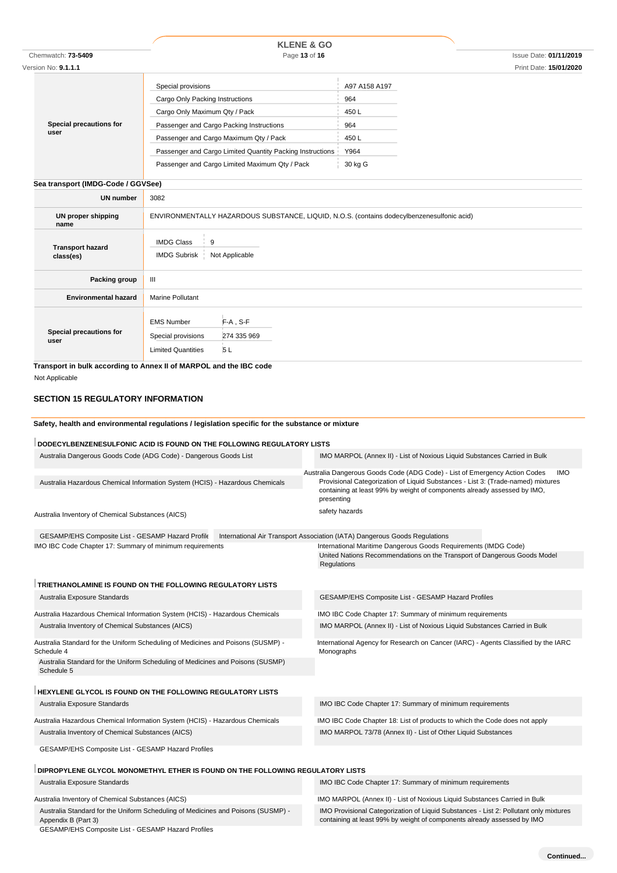| Chemwatch: 73-5409<br>Version No: 9.1.1.1 | <b>KLENE &amp; GO</b><br>Page 13 of 16                                                                                                                                                                                                                                                      |                                                                | <b>Issue Date: 01/11/2019</b><br>Print Date: 15/01/2020 |
|-------------------------------------------|---------------------------------------------------------------------------------------------------------------------------------------------------------------------------------------------------------------------------------------------------------------------------------------------|----------------------------------------------------------------|---------------------------------------------------------|
| Special precautions for<br>user           | Special provisions<br>Cargo Only Packing Instructions<br>Cargo Only Maximum Qty / Pack<br>Passenger and Cargo Packing Instructions<br>Passenger and Cargo Maximum Qty / Pack<br>Passenger and Cargo Limited Quantity Packing Instructions<br>Passenger and Cargo Limited Maximum Qty / Pack | A97 A158 A197<br>964<br>450L<br>964<br>450L<br>Y964<br>30 kg G |                                                         |
| Sea transport (IMDG-Code / GGVSee)        |                                                                                                                                                                                                                                                                                             |                                                                |                                                         |
| <b>UN number</b>                          | 3082                                                                                                                                                                                                                                                                                        |                                                                |                                                         |

| UN proper shipping<br>name           | ENVIRONMENTALLY HAZARDOUS SUBSTANCE, LIQUID, N.O.S. (contains dodecylbenzenesulfonic acid)                |  |  |
|--------------------------------------|-----------------------------------------------------------------------------------------------------------|--|--|
| <b>Transport hazard</b><br>class(es) | <b>IMDG Class</b><br>9<br><b>IMDG Subrisk</b><br>Not Applicable                                           |  |  |
| Packing group                        | Ш                                                                                                         |  |  |
| <b>Environmental hazard</b>          | <b>Marine Pollutant</b>                                                                                   |  |  |
| Special precautions for<br>user      | $F-A$ , S-F<br><b>EMS Number</b><br>Special provisions<br>274 335 969<br>5 L<br><b>Limited Quantities</b> |  |  |

**Transport in bulk according to Annex II of MARPOL and the IBC code** Not Applicable

### **SECTION 15 REGULATORY INFORMATION**

### **Safety, health and environmental regulations / legislation specific for the substance or mixture**

| DODECYLBENZENESULFONIC ACID IS FOUND ON THE FOLLOWING REGULATORY LISTS                         |  |                                                                                                                                                                |            |
|------------------------------------------------------------------------------------------------|--|----------------------------------------------------------------------------------------------------------------------------------------------------------------|------------|
| Australia Dangerous Goods Code (ADG Code) - Dangerous Goods List                               |  | IMO MARPOL (Annex II) - List of Noxious Liquid Substances Carried in Bulk                                                                                      |            |
|                                                                                                |  | Australia Dangerous Goods Code (ADG Code) - List of Emergency Action Codes<br>Provisional Categorization of Liquid Substances - List 3: (Trade-named) mixtures | <b>IMO</b> |
| Australia Hazardous Chemical Information System (HCIS) - Hazardous Chemicals                   |  | containing at least 99% by weight of components already assessed by IMO,<br>presenting                                                                         |            |
| Australia Inventory of Chemical Substances (AICS)                                              |  | safety hazards                                                                                                                                                 |            |
| GESAMP/EHS Composite List - GESAMP Hazard Profile                                              |  | International Air Transport Association (IATA) Dangerous Goods Regulations                                                                                     |            |
| IMO IBC Code Chapter 17: Summary of minimum requirements                                       |  | International Maritime Dangerous Goods Requirements (IMDG Code)<br>United Nations Recommendations on the Transport of Dangerous Goods Model<br>Regulations     |            |
| TRIETHANOLAMINE IS FOUND ON THE FOLLOWING REGULATORY LISTS                                     |  |                                                                                                                                                                |            |
| Australia Exposure Standards                                                                   |  | GESAMP/EHS Composite List - GESAMP Hazard Profiles                                                                                                             |            |
| Australia Hazardous Chemical Information System (HCIS) - Hazardous Chemicals                   |  | IMO IBC Code Chapter 17: Summary of minimum requirements                                                                                                       |            |
| Australia Inventory of Chemical Substances (AICS)                                              |  | IMO MARPOL (Annex II) - List of Noxious Liquid Substances Carried in Bulk                                                                                      |            |
| Australia Standard for the Uniform Scheduling of Medicines and Poisons (SUSMP) -<br>Schedule 4 |  | International Agency for Research on Cancer (IARC) - Agents Classified by the IARC<br>Monographs                                                               |            |
| Australia Standard for the Uniform Scheduling of Medicines and Poisons (SUSMP)<br>Schedule 5   |  |                                                                                                                                                                |            |
| HEXYLENE GLYCOL IS FOUND ON THE FOLLOWING REGULATORY LISTS                                     |  |                                                                                                                                                                |            |
| Australia Exposure Standards                                                                   |  | IMO IBC Code Chapter 17: Summary of minimum requirements                                                                                                       |            |
| Australia Hazardous Chemical Information System (HCIS) - Hazardous Chemicals                   |  | IMO IBC Code Chapter 18: List of products to which the Code does not apply                                                                                     |            |
| Australia Inventory of Chemical Substances (AICS)                                              |  | IMO MARPOL 73/78 (Annex II) - List of Other Liquid Substances                                                                                                  |            |
| GESAMP/EHS Composite List - GESAMP Hazard Profiles                                             |  |                                                                                                                                                                |            |
| DIPROPYLENE GLYCOL MONOMETHYL ETHER IS FOUND ON THE FOLLOWING REGULATORY LISTS                 |  |                                                                                                                                                                |            |
| Australia Exposure Standards                                                                   |  | IMO IBC Code Chapter 17: Summary of minimum requirements                                                                                                       |            |
| $\ldots$                                                                                       |  | <b>IMO MARROL (Association of Medicine Limital Orthodoxics Opening the Rull</b>                                                                                |            |

| Australia Inventory of Chemical Substances (AICS)                                                       | IMO MARPOL (Annex II) - List of Noxious Liquid Substances Carried in Bulk                                                                                        |  |  |
|---------------------------------------------------------------------------------------------------------|------------------------------------------------------------------------------------------------------------------------------------------------------------------|--|--|
| Australia Standard for the Uniform Scheduling of Medicines and Poisons (SUSMP) -<br>Appendix B (Part 3) | IMO Provisional Categorization of Liquid Substances - List 2: Pollutant only mixtures<br>containing at least 99% by weight of components already assessed by IMO |  |  |
| GESAMP/EHS Composite List - GESAMP Hazard Profiles                                                      |                                                                                                                                                                  |  |  |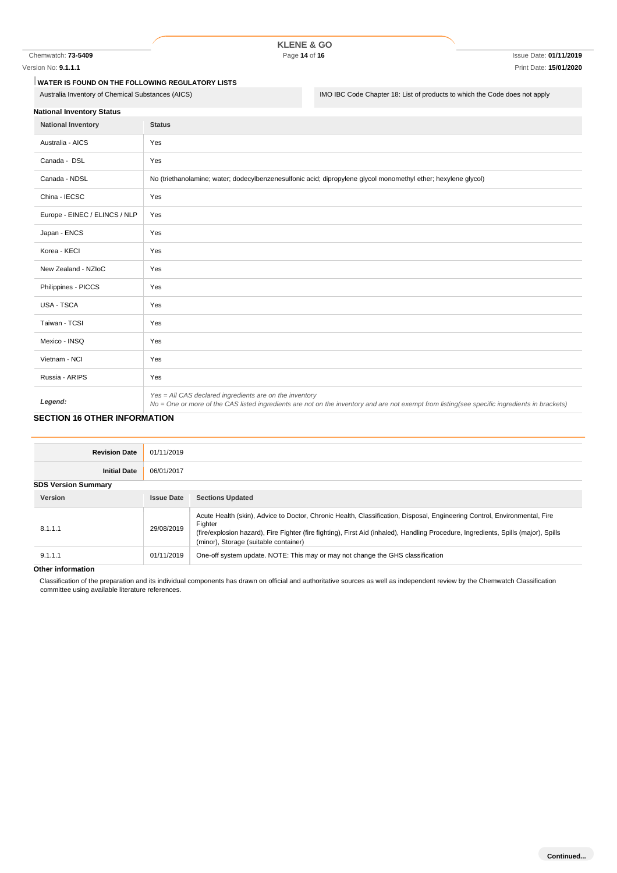Chemwatch: **73-5409** Page **14** of **16** Issue Date: **01/11/2019**

# **KLENE & GO**

#### Version No: **9.1.1.1** Print Date: **15/01/2020**

**WATER IS FOUND ON THE FOLLOWING REGULATORY LISTS**

Australia Inventory of Chemical Substances (AICS) **IMO IBC Code Chapter 18:** List of products to which the Code does not apply

| <b>National Inventory Status</b> |  |
|----------------------------------|--|
|                                  |  |

| <b>National Inventory</b>     | <b>Status</b>                                                                                                                                                                                            |
|-------------------------------|----------------------------------------------------------------------------------------------------------------------------------------------------------------------------------------------------------|
| Australia - AICS              | Yes                                                                                                                                                                                                      |
| Canada - DSL                  | Yes                                                                                                                                                                                                      |
| Canada - NDSL                 | No (triethanolamine; water; dodecylbenzenesulfonic acid; dipropylene glycol monomethyl ether; hexylene glycol)                                                                                           |
| China - IECSC                 | Yes                                                                                                                                                                                                      |
| Europe - EINEC / ELINCS / NLP | Yes                                                                                                                                                                                                      |
| Japan - ENCS                  | Yes                                                                                                                                                                                                      |
| Korea - KECI                  | Yes                                                                                                                                                                                                      |
| New Zealand - NZIoC           | Yes                                                                                                                                                                                                      |
| Philippines - PICCS           | Yes                                                                                                                                                                                                      |
| USA - TSCA                    | Yes                                                                                                                                                                                                      |
| Taiwan - TCSI                 | Yes                                                                                                                                                                                                      |
| Mexico - INSQ                 | Yes                                                                                                                                                                                                      |
| Vietnam - NCI                 | Yes                                                                                                                                                                                                      |
| Russia - ARIPS                | Yes                                                                                                                                                                                                      |
| Legend:                       | Yes = All CAS declared ingredients are on the inventory<br>No = One or more of the CAS listed ingredients are not on the inventory and are not exempt from listing(see specific ingredients in brackets) |

## **SECTION 16 OTHER INFORMATION**

| <b>Revision Date</b>       | 01/11/2019        |                                                                                                                                                                                                                                                                                                                      |
|----------------------------|-------------------|----------------------------------------------------------------------------------------------------------------------------------------------------------------------------------------------------------------------------------------------------------------------------------------------------------------------|
| <b>Initial Date</b>        | 06/01/2017        |                                                                                                                                                                                                                                                                                                                      |
| <b>SDS Version Summary</b> |                   |                                                                                                                                                                                                                                                                                                                      |
| Version                    | <b>Issue Date</b> | <b>Sections Updated</b>                                                                                                                                                                                                                                                                                              |
| 8.1.1.1                    | 29/08/2019        | Acute Health (skin), Advice to Doctor, Chronic Health, Classification, Disposal, Engineering Control, Environmental, Fire<br>Fighter<br>(fire/explosion hazard), Fire Fighter (fire fighting), First Aid (inhaled), Handling Procedure, Ingredients, Spills (major), Spills<br>(minor), Storage (suitable container) |
| 9.1.1.1                    | 01/11/2019        | One-off system update. NOTE: This may or may not change the GHS classification                                                                                                                                                                                                                                       |

#### **Other information**

Classification of the preparation and its individual components has drawn on official and authoritative sources as well as independent review by the Chemwatch Classification committee using available literature references.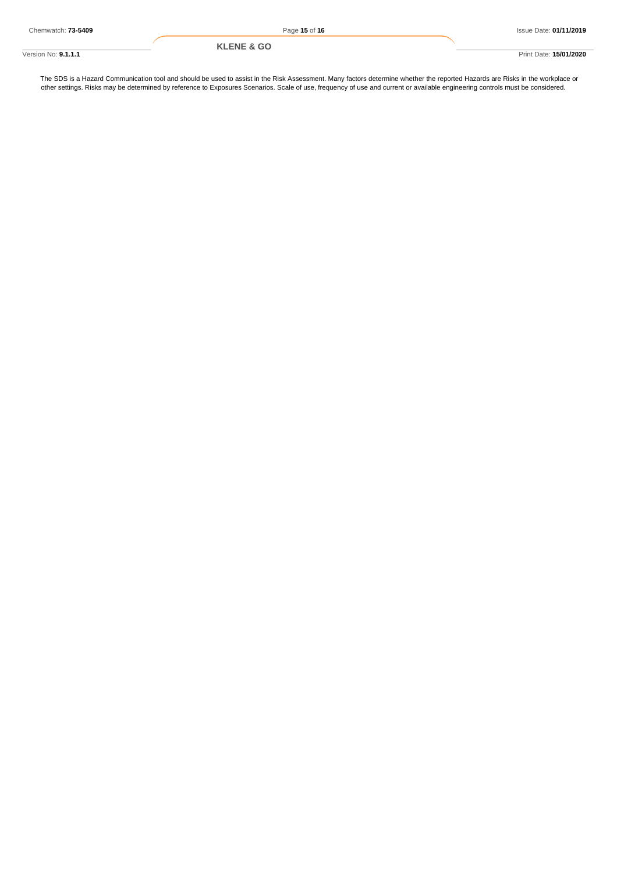The SDS is a Hazard Communication tool and should be used to assist in the Risk Assessment. Many factors determine whether the reported Hazards are Risks in the workplace or other settings. Risks may be determined by reference to Exposures Scenarios. Scale of use, frequency of use and current or available engineering controls must be considered.

Version No: **9.1.1.1** Print Date: **15/01/2020 KLENE & GO**